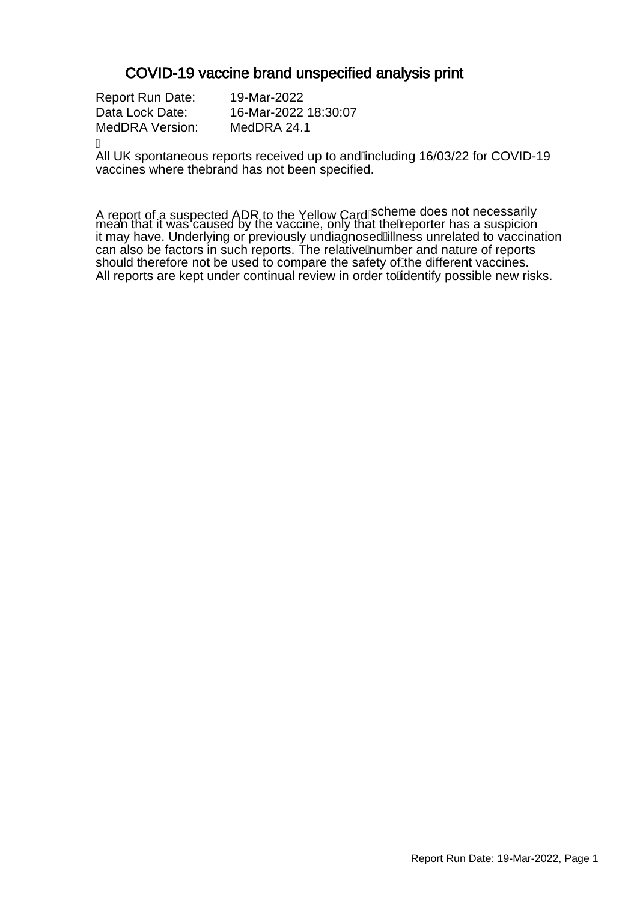### COVID-19 vaccine brand unspecified analysis print

Report Run Date: 19-Mar-2022 Data Lock Date: 16-Mar-2022 18:30:07 MedDRA Version: MedDRA 24.1

Á

All UK spontaneous reports received up to and Ancluding 16/03/22 for COVID-19 vaccines where thebrand has not been specified.

A report of a suspected ADR to the Yellow CardAcheme does not necessarily mean that it was caused by the vaccine, only that the keporter has a suspicion it may have. Underlying or previously undiagnosed Alness unrelated to vaccination can also be factors in such reports. The relative Aumber and nature of reports should therefore not be used to compare the safety of the different vaccines. All reports are kept under continual review in order to Adentify possible new risks.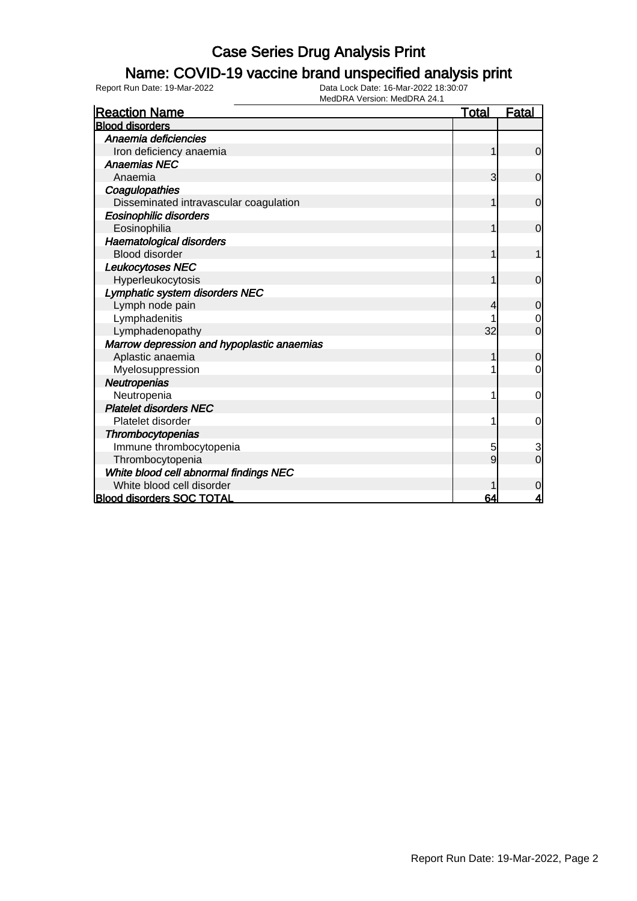### Name: COVID-19 vaccine brand unspecified analysis print

| <b>Reaction Name</b>                       | <b>Total</b> | <b>Fatal</b>   |
|--------------------------------------------|--------------|----------------|
| <b>Blood disorders</b>                     |              |                |
| Anaemia deficiencies                       |              |                |
| Iron deficiency anaemia                    | 1            | $\overline{0}$ |
| <b>Anaemias NEC</b>                        |              |                |
| Anaemia                                    | 3            | $\mathbf 0$    |
| Coagulopathies                             |              |                |
| Disseminated intravascular coagulation     | 1            | $\mathbf 0$    |
| <b>Eosinophilic disorders</b>              |              |                |
| Eosinophilia                               |              | $\mathbf 0$    |
| Haematological disorders                   |              |                |
| <b>Blood disorder</b>                      |              |                |
| Leukocytoses NEC                           |              |                |
| Hyperleukocytosis                          | 1            | $\overline{0}$ |
| Lymphatic system disorders NEC             |              |                |
| Lymph node pain                            | 4            | $\mathbf 0$    |
| Lymphadenitis                              |              | $\mathbf 0$    |
| Lymphadenopathy                            | 32           | $\overline{0}$ |
| Marrow depression and hypoplastic anaemias |              |                |
| Aplastic anaemia                           |              | $\overline{0}$ |
| Myelosuppression                           |              | 0              |
| Neutropenias                               |              |                |
| Neutropenia                                |              | 0              |
| <b>Platelet disorders NEC</b>              |              |                |
| Platelet disorder                          |              | 0              |
| Thrombocytopenias                          |              |                |
| Immune thrombocytopenia                    | 5            | 3              |
| Thrombocytopenia                           | 9            | $\overline{0}$ |
| White blood cell abnormal findings NEC     |              |                |
| White blood cell disorder                  |              | $\mathbf 0$    |
| <b>Blood disorders SOC TOTAL</b>           | 64           | 4              |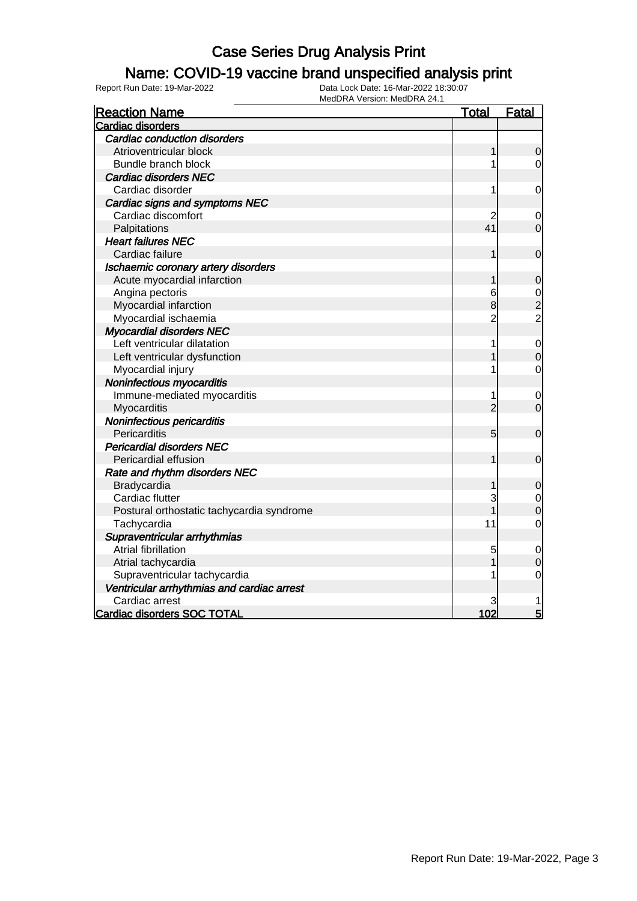### Name: COVID-19 vaccine brand unspecified analysis print

| <b>Reaction Name</b>                       | <u>Total</u>   | <b>Fatal</b>   |
|--------------------------------------------|----------------|----------------|
| Cardiac disorders                          |                |                |
| <b>Cardiac conduction disorders</b>        |                |                |
| Atrioventricular block                     | 1              | $\mathbf 0$    |
| Bundle branch block                        |                | 0              |
| <b>Cardiac disorders NEC</b>               |                |                |
| Cardiac disorder                           | 1              | $\mathbf 0$    |
| Cardiac signs and symptoms NEC             |                |                |
| Cardiac discomfort                         | 2              | 0              |
| Palpitations                               | 41             | $\overline{0}$ |
| <b>Heart failures NEC</b>                  |                |                |
| Cardiac failure                            | 1              | $\mathbf 0$    |
| Ischaemic coronary artery disorders        |                |                |
| Acute myocardial infarction                | 1              | $\mathbf 0$    |
| Angina pectoris                            | 6              | $\mathbf 0$    |
| Myocardial infarction                      | 8              | $\frac{2}{2}$  |
| Myocardial ischaemia                       | $\overline{c}$ |                |
| <b>Myocardial disorders NEC</b>            |                |                |
| Left ventricular dilatation                | 1              | $\mathbf 0$    |
| Left ventricular dysfunction               |                | $\mathbf 0$    |
| Myocardial injury                          | 1              | 0              |
| Noninfectious myocarditis                  |                |                |
| Immune-mediated myocarditis                | 1              | 0              |
| Myocarditis                                | $\overline{2}$ | $\overline{0}$ |
| Noninfectious pericarditis                 |                |                |
| Pericarditis                               | 5              | $\mathbf 0$    |
| <b>Pericardial disorders NEC</b>           |                |                |
| Pericardial effusion                       | 1              | $\mathbf 0$    |
| Rate and rhythm disorders NEC              |                |                |
| Bradycardia                                |                | $\mathbf 0$    |
| Cardiac flutter                            | 3              | $\mathbf 0$    |
| Postural orthostatic tachycardia syndrome  |                | $\overline{0}$ |
| Tachycardia                                | 11             | $\mathbf 0$    |
| Supraventricular arrhythmias               |                |                |
| <b>Atrial fibrillation</b>                 | 5              | $\mathbf 0$    |
| Atrial tachycardia                         |                | $\mathbf 0$    |
| Supraventricular tachycardia               |                | 0              |
| Ventricular arrhythmias and cardiac arrest |                |                |
| Cardiac arrest                             | 3              |                |
| <b>Cardiac disorders SOC TOTAL</b>         | 102            | 5              |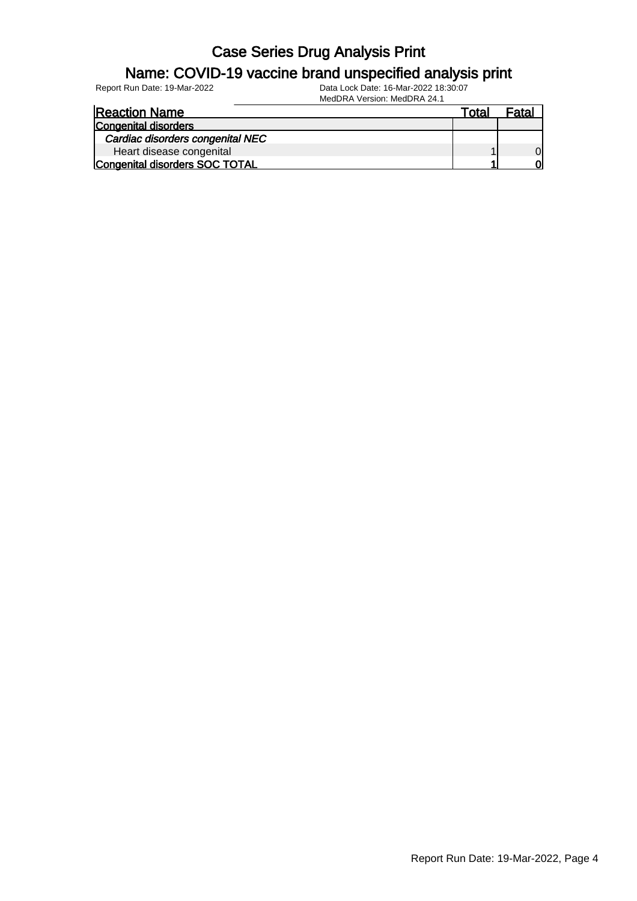#### Name: COVID-19 vaccine brand unspecified analysis print

| <b>Reaction Name</b>                  | Total | Fatal |
|---------------------------------------|-------|-------|
| <b>Congenital disorders</b>           |       |       |
| Cardiac disorders congenital NEC      |       |       |
| Heart disease congenital              |       |       |
| <b>Congenital disorders SOC TOTAL</b> |       | വ     |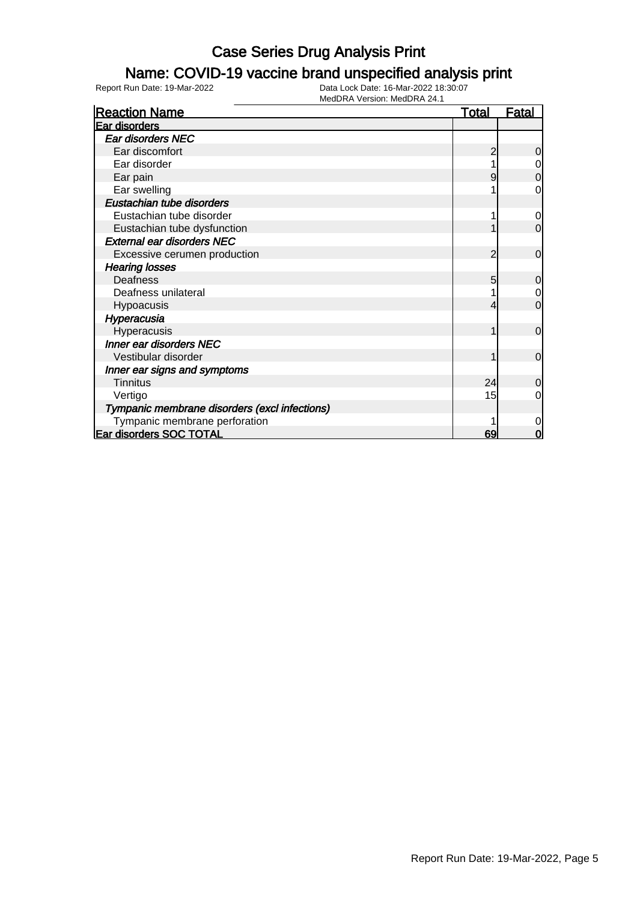### Name: COVID-19 vaccine brand unspecified analysis print

| <b>Reaction Name</b>                          | <b>Total</b> | <b>Fatal</b>   |
|-----------------------------------------------|--------------|----------------|
| Ear disorders                                 |              |                |
| <b>Ear disorders NEC</b>                      |              |                |
| Ear discomfort                                |              | 0              |
| Ear disorder                                  |              | $\mathbf 0$    |
| Ear pain                                      |              | $\mathbf 0$    |
| Ear swelling                                  |              | 0              |
| Eustachian tube disorders                     |              |                |
| Eustachian tube disorder                      |              | $\overline{0}$ |
| Eustachian tube dysfunction                   |              | $\mathbf 0$    |
| <b>External ear disorders NEC</b>             |              |                |
| Excessive cerumen production                  | 2            | $\mathbf 0$    |
| <b>Hearing losses</b>                         |              |                |
| Deafness                                      | 5            | $\mathbf 0$    |
| Deafness unilateral                           |              | $\overline{0}$ |
| Hypoacusis                                    |              | $\mathbf 0$    |
| Hyperacusia                                   |              |                |
| Hyperacusis                                   |              | $\mathbf 0$    |
| Inner ear disorders NEC                       |              |                |
| Vestibular disorder                           |              | $\overline{0}$ |
| Inner ear signs and symptoms                  |              |                |
| <b>Tinnitus</b>                               | 24           | $\overline{0}$ |
| Vertigo                                       | 15           | 0              |
| Tympanic membrane disorders (excl infections) |              |                |
| Tympanic membrane perforation                 |              | 0              |
| <b>Ear disorders SOC TOTAL</b>                | 69           | 0              |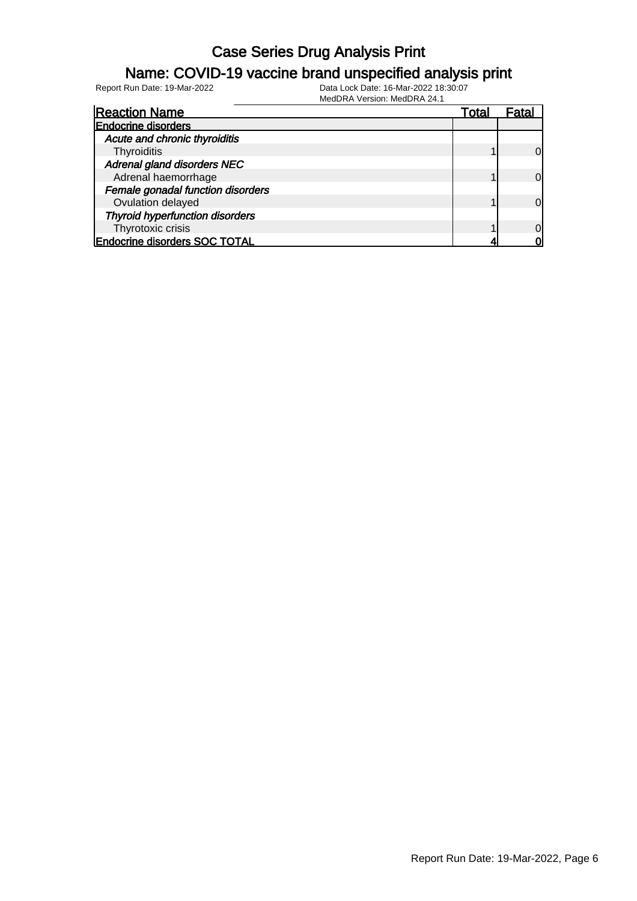#### Name: COVID-19 vaccine brand unspecified analysis print

Report Run Date: 19-Mar-2022 Data Lock Date: 16-Mar-2022 18:30:07

| <b>Reaction Name</b>                   | Total | Fatal    |
|----------------------------------------|-------|----------|
| <b>Endocrine disorders</b>             |       |          |
| Acute and chronic thyroiditis          |       |          |
| Thyroiditis                            |       | $\Omega$ |
| Adrenal gland disorders NEC            |       |          |
| Adrenal haemorrhage                    |       | $\Omega$ |
| Female gonadal function disorders      |       |          |
| Ovulation delayed                      |       | $\Omega$ |
| <b>Thyroid hyperfunction disorders</b> |       |          |
| Thyrotoxic crisis                      |       | $\Omega$ |
| <b>Endocrine disorders SOC TOTAL</b>   |       |          |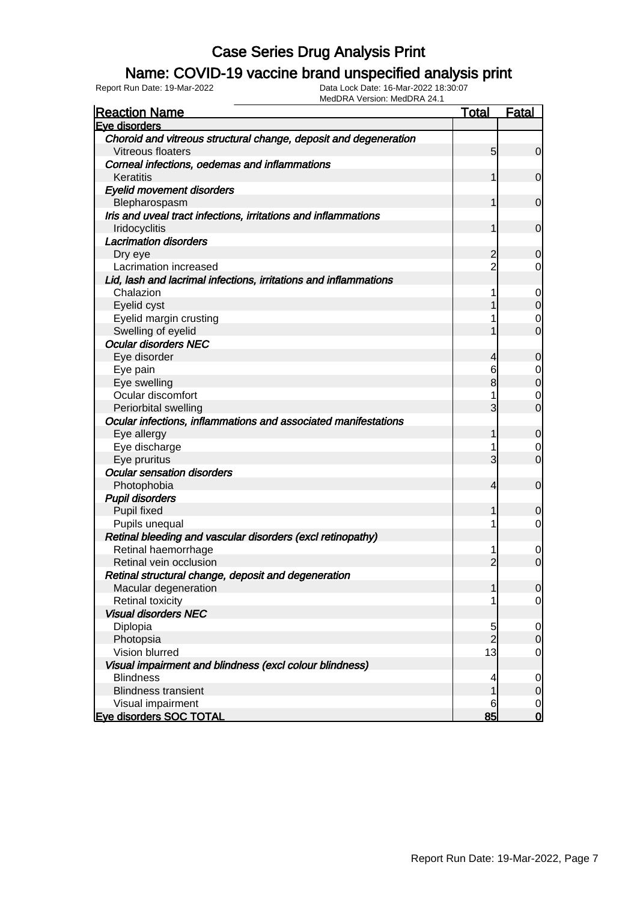#### Name: COVID-19 vaccine brand unspecified analysis print

| <b>Reaction Name</b>                                             | <b>Total</b>   | <b>Fatal</b>   |
|------------------------------------------------------------------|----------------|----------------|
| Eye disorders                                                    |                |                |
| Choroid and vitreous structural change, deposit and degeneration |                |                |
| Vitreous floaters                                                | 5 <sup>5</sup> | $\overline{0}$ |
| Corneal infections, oedemas and inflammations                    |                |                |
| Keratitis                                                        |                | $\mathbf 0$    |
| <b>Eyelid movement disorders</b>                                 |                |                |
| Blepharospasm                                                    |                | $\mathbf 0$    |
| Iris and uveal tract infections, irritations and inflammations   |                |                |
| Iridocyclitis                                                    |                | $\mathbf 0$    |
| <b>Lacrimation disorders</b>                                     |                |                |
| Dry eye                                                          | $\overline{c}$ | $\mathbf 0$    |
| Lacrimation increased                                            | $\overline{2}$ | 0              |
| Lid, lash and lacrimal infections, irritations and inflammations |                |                |
| Chalazion                                                        |                | 0              |
| Eyelid cyst                                                      |                | $\mathbf 0$    |
| Eyelid margin crusting                                           |                | 0              |
| Swelling of eyelid                                               |                | $\overline{0}$ |
| <b>Ocular disorders NEC</b>                                      |                |                |
| Eye disorder                                                     | 4              | 0              |
| Eye pain                                                         | 6              | 0              |
| Eye swelling                                                     | 8              | $\mathbf 0$    |
| Ocular discomfort                                                |                | 0              |
| Periorbital swelling                                             | 3              | $\overline{0}$ |
| Ocular infections, inflammations and associated manifestations   |                |                |
| Eye allergy                                                      | 1              | $\mathbf 0$    |
| Eye discharge                                                    |                | 0              |
| Eye pruritus                                                     | 3              | $\overline{0}$ |
| <b>Ocular sensation disorders</b>                                |                |                |
| Photophobia                                                      | 4              | $\mathbf 0$    |
| <b>Pupil disorders</b>                                           |                |                |
| Pupil fixed                                                      | 1              | $\mathbf 0$    |
| Pupils unequal                                                   |                | 0              |
| Retinal bleeding and vascular disorders (excl retinopathy)       |                |                |
| Retinal haemorrhage                                              |                | $\mathbf 0$    |
| Retinal vein occlusion                                           | $\overline{2}$ | $\overline{0}$ |
| Retinal structural change, deposit and degeneration              |                |                |
| Macular degeneration                                             | 1              | 0              |
| <b>Retinal toxicity</b>                                          |                | $\overline{0}$ |
| <b>Visual disorders NEC</b>                                      |                |                |
| Diplopia                                                         | 5              | $\overline{0}$ |
| Photopsia                                                        | $\overline{2}$ | $\mathbf 0$    |
| Vision blurred                                                   | 13             | $\mathbf 0$    |
| Visual impairment and blindness (excl colour blindness)          |                |                |
| <b>Blindness</b>                                                 | 4              | $\overline{0}$ |
| <b>Blindness transient</b>                                       |                | $\mathbf 0$    |
| Visual impairment                                                | 6              | $\overline{0}$ |
| <b>Eve disorders SOC TOTAL</b>                                   | 85             | $\mathbf 0$    |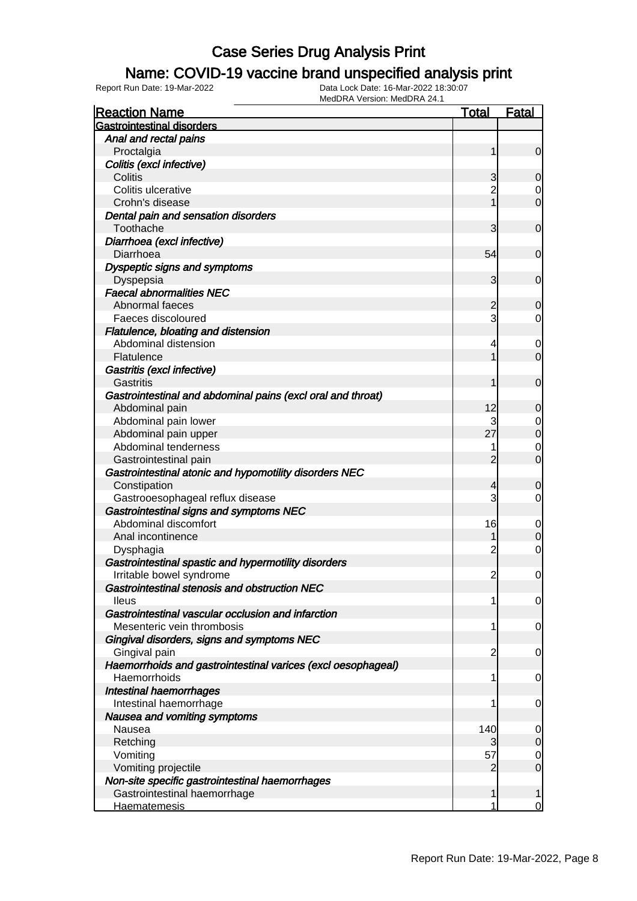### Name: COVID-19 vaccine brand unspecified analysis print

| <b>Reaction Name</b>                                         | <u>Total</u>   | <u>Fatal</u>               |
|--------------------------------------------------------------|----------------|----------------------------|
| <b>Gastrointestinal disorders</b>                            |                |                            |
| Anal and rectal pains                                        |                |                            |
| Proctalgia                                                   | 1              | $\overline{0}$             |
| Colitis (excl infective)                                     |                |                            |
| Colitis                                                      | 3              | $\overline{0}$             |
| Colitis ulcerative                                           | $\overline{2}$ | $\overline{0}$             |
| Crohn's disease                                              |                | $\mathbf 0$                |
| Dental pain and sensation disorders                          |                |                            |
| Toothache                                                    | 3              | $\mathbf 0$                |
| Diarrhoea (excl infective)                                   |                |                            |
| Diarrhoea                                                    | 54             | $\mathbf 0$                |
| Dyspeptic signs and symptoms                                 |                |                            |
| Dyspepsia                                                    | 3              | $\overline{0}$             |
| <b>Faecal abnormalities NEC</b>                              |                |                            |
| Abnormal faeces                                              | 2              | $\overline{0}$             |
| Faeces discoloured                                           | 3              | $\overline{0}$             |
| Flatulence, bloating and distension                          |                |                            |
| Abdominal distension                                         | 4              | $\overline{0}$             |
| Flatulence                                                   |                | $\overline{0}$             |
| Gastritis (excl infective)                                   |                |                            |
| Gastritis                                                    | 1              | $\mathbf 0$                |
| Gastrointestinal and abdominal pains (excl oral and throat)  |                |                            |
| Abdominal pain                                               | 12             | 0                          |
| Abdominal pain lower                                         | 3              | $\overline{0}$             |
| Abdominal pain upper                                         | 27             | $\overline{0}$             |
| Abdominal tenderness                                         | 1              | $\mathbf 0$                |
| Gastrointestinal pain                                        | $\overline{2}$ | $\mathbf 0$                |
| Gastrointestinal atonic and hypomotility disorders NEC       |                |                            |
| Constipation                                                 | 4              | $\overline{0}$             |
| Gastrooesophageal reflux disease                             | 3              | $\overline{0}$             |
| Gastrointestinal signs and symptoms NEC                      |                |                            |
| Abdominal discomfort                                         | 16             |                            |
| Anal incontinence                                            |                | $\mathbf 0$<br>$\mathbf 0$ |
| Dysphagia                                                    | 2              | $\overline{0}$             |
| Gastrointestinal spastic and hypermotility disorders         |                |                            |
| Irritable bowel syndrome                                     | $\overline{2}$ | $\mathbf 0$                |
| Gastrointestinal stenosis and obstruction NEC                |                |                            |
| <b>Ileus</b>                                                 | 1              | $\overline{0}$             |
| Gastrointestinal vascular occlusion and infarction           |                |                            |
| Mesenteric vein thrombosis                                   | 1              | 0                          |
| Gingival disorders, signs and symptoms NEC                   |                |                            |
| Gingival pain                                                | $\overline{c}$ |                            |
| Haemorrhoids and gastrointestinal varices (excl oesophageal) |                | 0                          |
| Haemorrhoids                                                 | 1              |                            |
| <b>Intestinal haemorrhages</b>                               |                | 0                          |
| Intestinal haemorrhage                                       | 1              |                            |
| Nausea and vomiting symptoms                                 |                | 0                          |
|                                                              |                |                            |
| Nausea                                                       | 140            | $\mathbf 0$                |
| Retching                                                     | 3<br>57        | $\mathbf 0$                |
| Vomiting                                                     |                | $\overline{0}$             |
| Vomiting projectile                                          | 2              | $\mathbf 0$                |
| Non-site specific gastrointestinal haemorrhages              |                |                            |
| Gastrointestinal haemorrhage                                 | 1              | 1                          |
| <b>Haematemesis</b>                                          | 1              | $\overline{0}$             |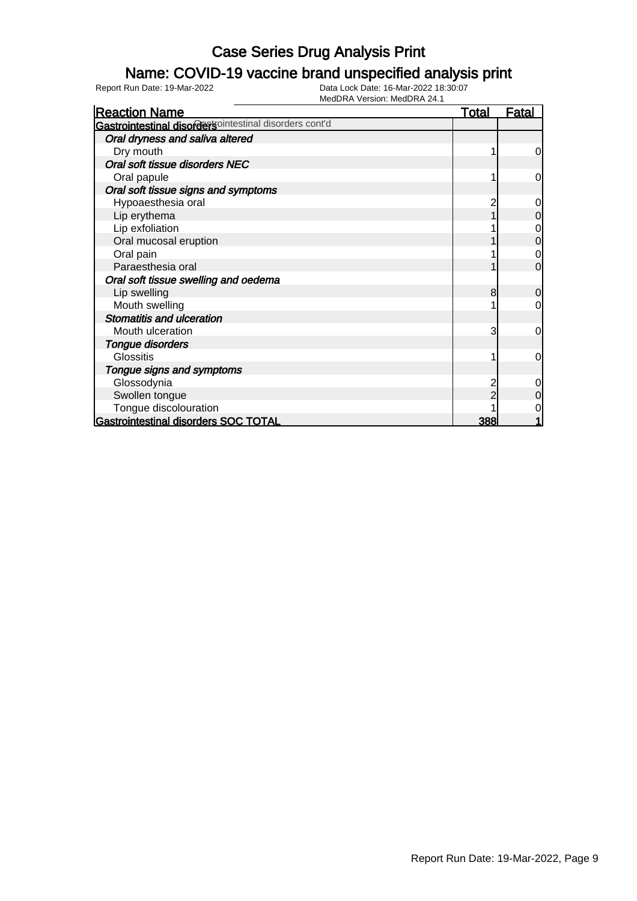### Name: COVID-19 vaccine brand unspecified analysis print

| <b>Reaction Name</b>                                   | <u>Total</u> | <u>Fatal</u>   |
|--------------------------------------------------------|--------------|----------------|
| Gastrointestinal disordersointestinal disorders cont'd |              |                |
| Oral dryness and saliva altered                        |              |                |
| Dry mouth                                              |              | $\overline{0}$ |
| Oral soft tissue disorders NEC                         |              |                |
| Oral papule                                            |              | 0              |
| Oral soft tissue signs and symptoms                    |              |                |
| Hypoaesthesia oral                                     |              | $\mathbf 0$    |
| Lip erythema                                           |              | $\mathbf 0$    |
| Lip exfoliation                                        |              | 0              |
| Oral mucosal eruption                                  |              | $\mathbf 0$    |
| Oral pain                                              |              | 0              |
| Paraesthesia oral                                      |              | $\overline{0}$ |
| Oral soft tissue swelling and oedema                   |              |                |
| Lip swelling                                           | 8            | 0              |
| Mouth swelling                                         |              | $\overline{0}$ |
| <b>Stomatitis and ulceration</b>                       |              |                |
| Mouth ulceration                                       | 3            | $\overline{0}$ |
| Tongue disorders                                       |              |                |
| Glossitis                                              |              | 0              |
| Tongue signs and symptoms                              |              |                |
| Glossodynia                                            |              | 0              |
| Swollen tongue                                         |              | 0              |
| Tongue discolouration                                  |              |                |
| Gastrointestinal disorders SOC TOTAL                   | 388          |                |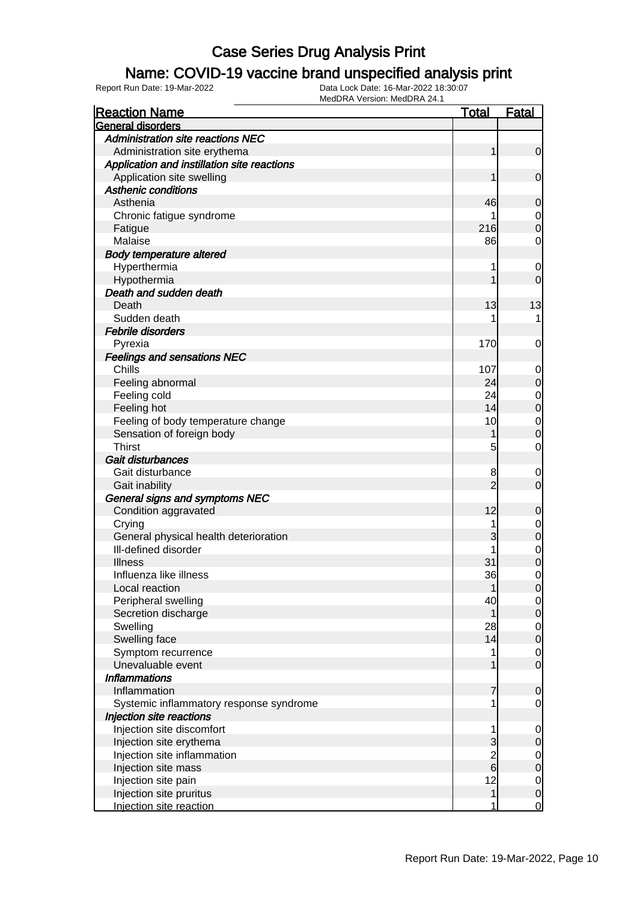### Name: COVID-19 vaccine brand unspecified analysis print

| <b>Reaction Name</b>                        | <b>Total</b>   | <b>Fatal</b>     |
|---------------------------------------------|----------------|------------------|
| General disorders                           |                |                  |
| <b>Administration site reactions NEC</b>    |                |                  |
| Administration site erythema                | 1              | $\mathbf 0$      |
| Application and instillation site reactions |                |                  |
| Application site swelling                   | 1              | $\mathbf 0$      |
| <b>Asthenic conditions</b>                  |                |                  |
| Asthenia                                    | 46             | 0                |
| Chronic fatigue syndrome                    |                | 0                |
| Fatigue                                     | 216            | $\boldsymbol{0}$ |
| Malaise                                     | 86             | 0                |
| <b>Body temperature altered</b>             |                |                  |
| Hyperthermia                                |                | 0                |
| Hypothermia                                 |                | $\mathbf 0$      |
| Death and sudden death                      |                |                  |
| Death                                       | 13             | 13               |
| Sudden death                                |                | 1                |
|                                             |                |                  |
| Febrile disorders                           |                |                  |
| Pyrexia                                     | 170            | 0                |
| <b>Feelings and sensations NEC</b>          |                |                  |
| Chills                                      | 107            | 0                |
| Feeling abnormal                            | 24             | $\mathbf 0$      |
| Feeling cold                                | 24             | $\mathbf 0$      |
| Feeling hot                                 | 14             | $\mathbf 0$      |
| Feeling of body temperature change          | 10             | $\mathbf 0$      |
| Sensation of foreign body                   |                | $\mathbf 0$      |
| <b>Thirst</b>                               | 5              | $\mathbf 0$      |
| Gait disturbances                           |                |                  |
| Gait disturbance                            | 8              | 0                |
| Gait inability                              | $\overline{2}$ | $\mathbf 0$      |
| General signs and symptoms NEC              |                |                  |
| Condition aggravated                        | 12             | 0                |
| Crying                                      |                | $\mathbf 0$      |
| General physical health deterioration       | 3              | $\mathbf 0$      |
| Ill-defined disorder                        |                | $\mathbf 0$      |
| <b>Illness</b>                              | 31             | $\mathbf 0$      |
| Influenza like illness                      | 36             | $\mathbf 0$      |
| Local reaction                              |                | $\overline{0}$   |
| Peripheral swelling                         | 40             | $\overline{0}$   |
| Secretion discharge                         | 1              | $\mathbf 0$      |
| Swelling                                    | 28             | $\overline{0}$   |
| Swelling face                               | 14             | $\mathbf 0$      |
| Symptom recurrence                          |                | $\mathbf 0$      |
| Unevaluable event                           |                | $\mathbf 0$      |
| <b>Inflammations</b>                        |                |                  |
| Inflammation                                | 7              | $\mathbf 0$      |
| Systemic inflammatory response syndrome     |                | $\mathbf 0$      |
| Injection site reactions                    |                |                  |
| Injection site discomfort                   | 1              | 0                |
| Injection site erythema                     | 3              | $\mathbf 0$      |
| Injection site inflammation                 |                | 0                |
| Injection site mass                         | $\frac{2}{6}$  | $\mathbf 0$      |
| Injection site pain                         | 12             | $\mathbf 0$      |
| Injection site pruritus                     | $\mathbf{1}$   | $\mathbf 0$      |
| Injection site reaction                     | 1              | $\overline{0}$   |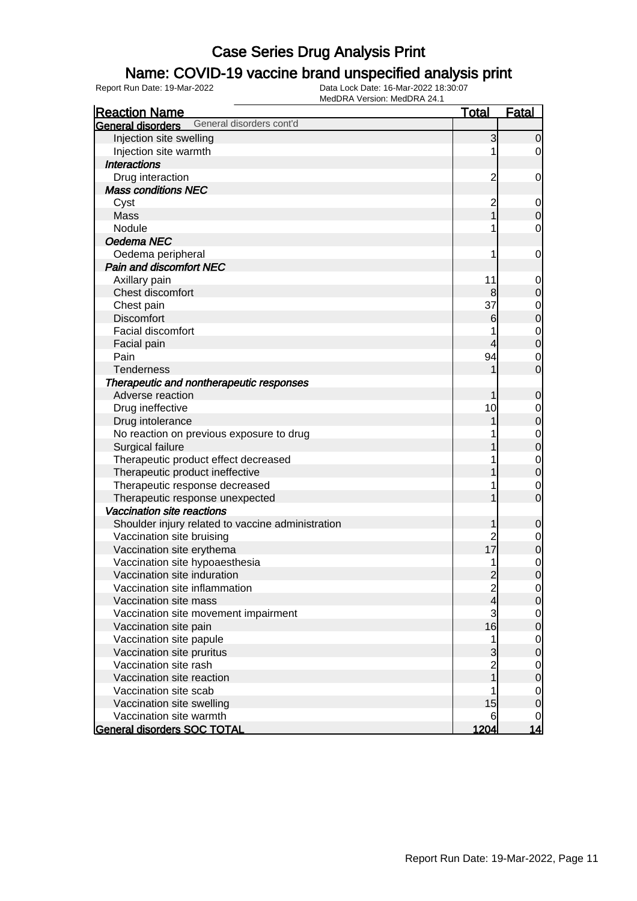### Name: COVID-19 vaccine brand unspecified analysis print

| <b>Reaction Name</b>                              | <b>Total</b>            | Fatal          |
|---------------------------------------------------|-------------------------|----------------|
| General disorders cont'd<br>General disorders     |                         |                |
| Injection site swelling                           | 3                       | $\overline{0}$ |
| Injection site warmth                             |                         | $\overline{0}$ |
| <b>Interactions</b>                               |                         |                |
| Drug interaction                                  | $\overline{\mathbf{c}}$ | $\mathbf 0$    |
| <b>Mass conditions NEC</b>                        |                         |                |
| Cyst                                              | $\overline{\mathbf{c}}$ | $\overline{0}$ |
| Mass                                              |                         | $\mathbf 0$    |
| Nodule                                            |                         | $\mathbf 0$    |
| Oedema NEC                                        |                         |                |
| Oedema peripheral                                 |                         | $\mathbf 0$    |
| <b>Pain and discomfort NEC</b>                    |                         |                |
| Axillary pain                                     | 11                      | $\mathbf 0$    |
| Chest discomfort                                  | 8                       | $\mathbf 0$    |
| Chest pain                                        | 37                      | $\mathbf 0$    |
| <b>Discomfort</b>                                 | $6\phantom{1}6$         | $\overline{0}$ |
| Facial discomfort                                 |                         | $\mathbf 0$    |
| Facial pain                                       | 4                       | $\overline{0}$ |
| Pain                                              | 94                      | $\mathbf 0$    |
| <b>Tenderness</b>                                 |                         | $\mathbf 0$    |
| Therapeutic and nontherapeutic responses          |                         |                |
| Adverse reaction                                  |                         | $\mathbf 0$    |
| Drug ineffective                                  | 10                      | $\mathbf 0$    |
| Drug intolerance                                  |                         | $\overline{0}$ |
| No reaction on previous exposure to drug          |                         | $\mathbf 0$    |
| Surgical failure                                  |                         | $\overline{0}$ |
| Therapeutic product effect decreased              |                         | $\mathbf 0$    |
| Therapeutic product ineffective                   |                         | $\overline{0}$ |
| Therapeutic response decreased                    |                         | $\mathbf 0$    |
| Therapeutic response unexpected                   |                         | $\overline{0}$ |
| Vaccination site reactions                        |                         |                |
| Shoulder injury related to vaccine administration |                         | $\mathbf 0$    |
| Vaccination site bruising                         |                         | $\mathbf 0$    |
| Vaccination site erythema                         | 17                      | $\mathbf 0$    |
| Vaccination site hypoaesthesia                    |                         | $\mathbf 0$    |
| Vaccination site induration                       | $\overline{2}$          | $\overline{0}$ |
| Vaccination site inflammation                     | $\overline{\mathbf{c}}$ | $\overline{0}$ |
| Vaccination site mass                             | 4                       | $\mathbf 0$    |
| Vaccination site movement impairment              | 3                       | $\mathbf 0$    |
| Vaccination site pain                             | 16                      | $\overline{0}$ |
| Vaccination site papule                           | 1                       | $\mathbf 0$    |
| Vaccination site pruritus                         | 3                       | $\overline{0}$ |
| Vaccination site rash                             | $\overline{c}$          | $\mathbf 0$    |
| Vaccination site reaction                         |                         | $\overline{0}$ |
| Vaccination site scab                             |                         | $\mathbf 0$    |
| Vaccination site swelling                         | 15                      | $\mathbf 0$    |
| Vaccination site warmth                           | 6                       | 0              |
| <b>General disorders SOC TOTAL</b>                | 1204                    | <u>14</u>      |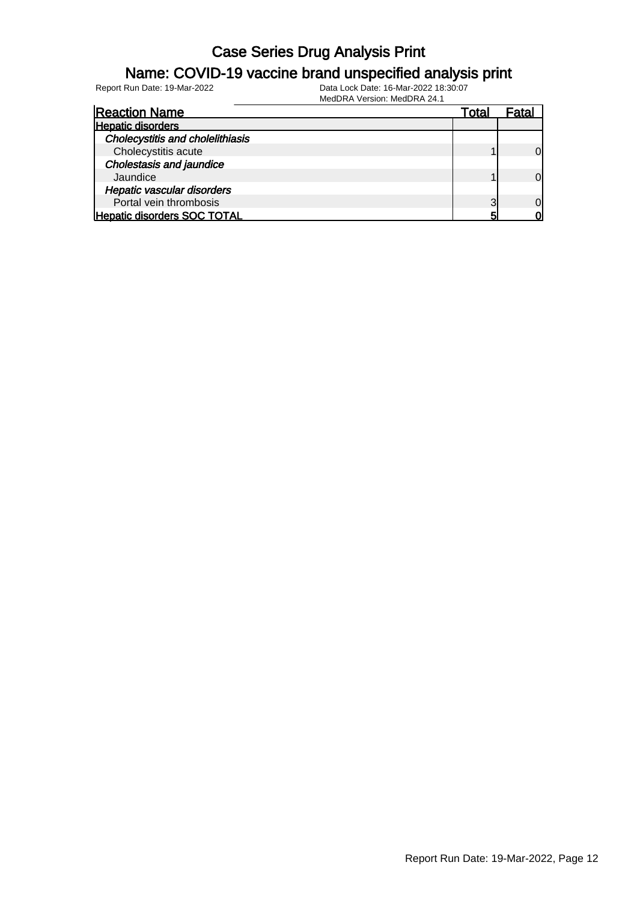#### Name: COVID-19 vaccine brand unspecified analysis print

Report Run Date: 19-Mar-2022 Data Lock Date: 16-Mar-2022 18:30:07

| <b>Reaction Name</b>                    | Total    |  |
|-----------------------------------------|----------|--|
| <b>Hepatic disorders</b>                |          |  |
| <b>Cholecystitis and cholelithiasis</b> |          |  |
| Cholecystitis acute                     |          |  |
| <b>Cholestasis and jaundice</b>         |          |  |
| Jaundice                                |          |  |
| <b>Hepatic vascular disorders</b>       |          |  |
| Portal vein thrombosis                  | $\Omega$ |  |
| <b>Hepatic disorders SOC TOTAL</b>      |          |  |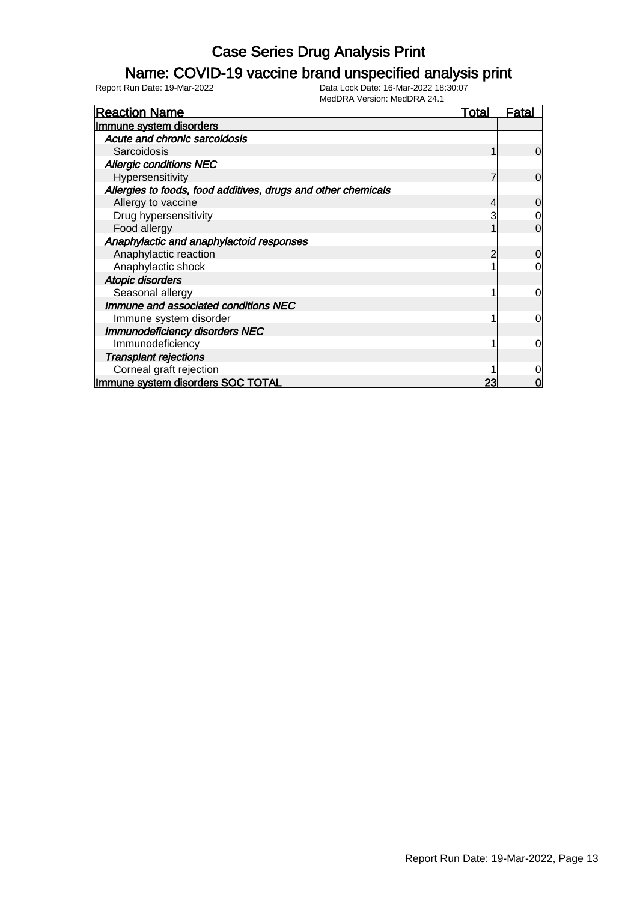### Name: COVID-19 vaccine brand unspecified analysis print

| <b>Reaction Name</b>                                          | <u>Total</u> | Fatal    |
|---------------------------------------------------------------|--------------|----------|
| Immune system disorders                                       |              |          |
| Acute and chronic sarcoidosis                                 |              |          |
| Sarcoidosis                                                   |              | 0        |
| <b>Allergic conditions NEC</b>                                |              |          |
| Hypersensitivity                                              |              | $\Omega$ |
| Allergies to foods, food additives, drugs and other chemicals |              |          |
| Allergy to vaccine                                            |              | 0        |
| Drug hypersensitivity                                         |              | 0        |
| Food allergy                                                  |              | 0        |
| Anaphylactic and anaphylactoid responses                      |              |          |
| Anaphylactic reaction                                         |              | 0        |
| Anaphylactic shock                                            |              | 0        |
| Atopic disorders                                              |              |          |
| Seasonal allergy                                              |              | 0        |
| Immune and associated conditions NEC                          |              |          |
| Immune system disorder                                        |              | $\Omega$ |
| <b>Immunodeficiency disorders NEC</b>                         |              |          |
| Immunodeficiency                                              |              | $\Omega$ |
| <b>Transplant rejections</b>                                  |              |          |
| Corneal graft rejection                                       |              | 0        |
| Immune system disorders SOC TOTAL                             | 23           | O        |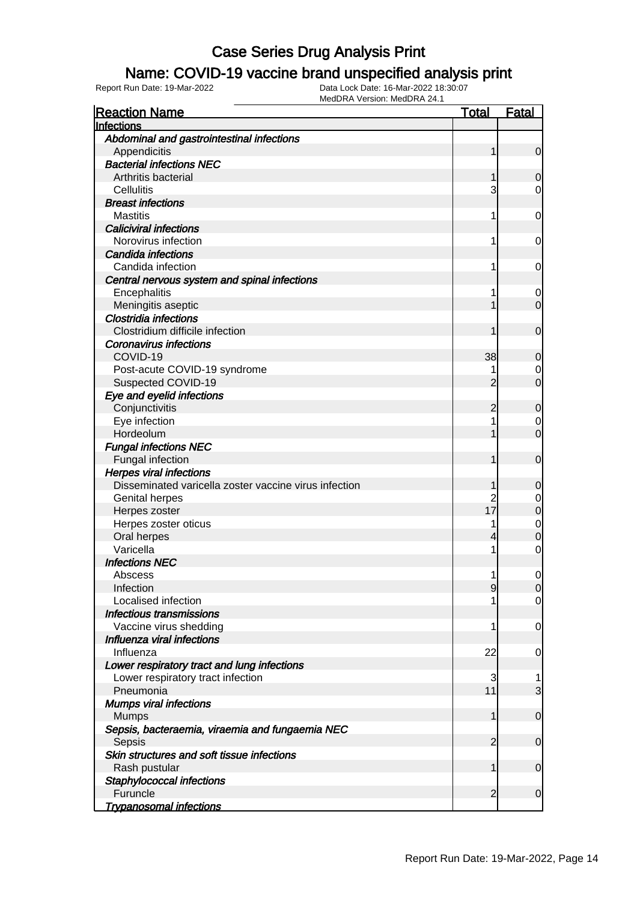#### Name: COVID-19 vaccine brand unspecified analysis print

| Abdominal and gastrointestinal infections<br>Appendicitis<br>1<br>$\mathbf 0$<br><b>Bacterial infections NEC</b><br>Arthritis bacterial<br>1<br>0<br>3<br>Cellulitis<br>0<br><b>Breast infections</b><br><b>Mastitis</b><br>1<br>$\mathbf 0$<br><b>Caliciviral infections</b><br>Norovirus infection<br>1<br>0<br>Candida infections<br>Candida infection<br>1<br>0<br>Central nervous system and spinal infections<br>Encephalitis<br>1<br>0<br>Meningitis aseptic<br>1<br>$\mathbf 0$<br><b>Clostridia infections</b><br>Clostridium difficile infection<br>1<br>$\mathbf 0$<br><b>Coronavirus infections</b><br>COVID-19<br>38<br>0<br>Post-acute COVID-19 syndrome<br>0<br>Suspected COVID-19<br>$\overline{0}$<br>2<br>Eye and eyelid infections<br>Conjunctivitis<br>$\overline{c}$<br>$\mathbf 0$<br>Eye infection<br>1<br>0<br>$\overline{0}$<br>Hordeolum<br><b>Fungal infections NEC</b><br>Fungal infection<br>1<br>$\mathbf 0$<br><b>Herpes viral infections</b><br>Disseminated varicella zoster vaccine virus infection<br>1<br>0<br>$\overline{c}$<br>Genital herpes<br>0<br>17<br>$\mathbf 0$<br>Herpes zoster<br>Herpes zoster oticus<br>1<br>$\mathbf 0$<br>Oral herpes<br>0<br>4<br>Varicella<br>1<br>$\mathbf 0$<br><b>Infections NEC</b><br>Abscess<br>1<br>$\mathbf 0$<br>Infection<br>$\overline{9}$<br>$\overline{0}$<br>Localised infection<br>$\overline{0}$<br>Infectious transmissions<br>Vaccine virus shedding<br>1<br>0<br>Influenza viral infections<br>22<br>Influenza<br>0<br>Lower respiratory tract and lung infections<br>Lower respiratory tract infection<br>3<br>1<br>11<br>3<br>Pneumonia<br><b>Mumps viral infections</b><br>Mumps<br>1<br>$\mathbf 0$<br>Sepsis, bacteraemia, viraemia and fungaemia NEC<br>$\overline{2}$<br>Sepsis<br>$\mathbf 0$<br>Skin structures and soft tissue infections<br>1<br>Rash pustular<br>$\mathbf 0$ | <b>Reaction Name</b>      | <u>Total</u> | <b>Fatal</b> |
|-----------------------------------------------------------------------------------------------------------------------------------------------------------------------------------------------------------------------------------------------------------------------------------------------------------------------------------------------------------------------------------------------------------------------------------------------------------------------------------------------------------------------------------------------------------------------------------------------------------------------------------------------------------------------------------------------------------------------------------------------------------------------------------------------------------------------------------------------------------------------------------------------------------------------------------------------------------------------------------------------------------------------------------------------------------------------------------------------------------------------------------------------------------------------------------------------------------------------------------------------------------------------------------------------------------------------------------------------------------------------------------------------------------------------------------------------------------------------------------------------------------------------------------------------------------------------------------------------------------------------------------------------------------------------------------------------------------------------------------------------------------------------------------------------------------------------------------------------------------------------------------|---------------------------|--------------|--------------|
|                                                                                                                                                                                                                                                                                                                                                                                                                                                                                                                                                                                                                                                                                                                                                                                                                                                                                                                                                                                                                                                                                                                                                                                                                                                                                                                                                                                                                                                                                                                                                                                                                                                                                                                                                                                                                                                                                   | Infections                |              |              |
|                                                                                                                                                                                                                                                                                                                                                                                                                                                                                                                                                                                                                                                                                                                                                                                                                                                                                                                                                                                                                                                                                                                                                                                                                                                                                                                                                                                                                                                                                                                                                                                                                                                                                                                                                                                                                                                                                   |                           |              |              |
|                                                                                                                                                                                                                                                                                                                                                                                                                                                                                                                                                                                                                                                                                                                                                                                                                                                                                                                                                                                                                                                                                                                                                                                                                                                                                                                                                                                                                                                                                                                                                                                                                                                                                                                                                                                                                                                                                   |                           |              |              |
|                                                                                                                                                                                                                                                                                                                                                                                                                                                                                                                                                                                                                                                                                                                                                                                                                                                                                                                                                                                                                                                                                                                                                                                                                                                                                                                                                                                                                                                                                                                                                                                                                                                                                                                                                                                                                                                                                   |                           |              |              |
|                                                                                                                                                                                                                                                                                                                                                                                                                                                                                                                                                                                                                                                                                                                                                                                                                                                                                                                                                                                                                                                                                                                                                                                                                                                                                                                                                                                                                                                                                                                                                                                                                                                                                                                                                                                                                                                                                   |                           |              |              |
|                                                                                                                                                                                                                                                                                                                                                                                                                                                                                                                                                                                                                                                                                                                                                                                                                                                                                                                                                                                                                                                                                                                                                                                                                                                                                                                                                                                                                                                                                                                                                                                                                                                                                                                                                                                                                                                                                   |                           |              |              |
|                                                                                                                                                                                                                                                                                                                                                                                                                                                                                                                                                                                                                                                                                                                                                                                                                                                                                                                                                                                                                                                                                                                                                                                                                                                                                                                                                                                                                                                                                                                                                                                                                                                                                                                                                                                                                                                                                   |                           |              |              |
|                                                                                                                                                                                                                                                                                                                                                                                                                                                                                                                                                                                                                                                                                                                                                                                                                                                                                                                                                                                                                                                                                                                                                                                                                                                                                                                                                                                                                                                                                                                                                                                                                                                                                                                                                                                                                                                                                   |                           |              |              |
|                                                                                                                                                                                                                                                                                                                                                                                                                                                                                                                                                                                                                                                                                                                                                                                                                                                                                                                                                                                                                                                                                                                                                                                                                                                                                                                                                                                                                                                                                                                                                                                                                                                                                                                                                                                                                                                                                   |                           |              |              |
|                                                                                                                                                                                                                                                                                                                                                                                                                                                                                                                                                                                                                                                                                                                                                                                                                                                                                                                                                                                                                                                                                                                                                                                                                                                                                                                                                                                                                                                                                                                                                                                                                                                                                                                                                                                                                                                                                   |                           |              |              |
|                                                                                                                                                                                                                                                                                                                                                                                                                                                                                                                                                                                                                                                                                                                                                                                                                                                                                                                                                                                                                                                                                                                                                                                                                                                                                                                                                                                                                                                                                                                                                                                                                                                                                                                                                                                                                                                                                   |                           |              |              |
|                                                                                                                                                                                                                                                                                                                                                                                                                                                                                                                                                                                                                                                                                                                                                                                                                                                                                                                                                                                                                                                                                                                                                                                                                                                                                                                                                                                                                                                                                                                                                                                                                                                                                                                                                                                                                                                                                   |                           |              |              |
|                                                                                                                                                                                                                                                                                                                                                                                                                                                                                                                                                                                                                                                                                                                                                                                                                                                                                                                                                                                                                                                                                                                                                                                                                                                                                                                                                                                                                                                                                                                                                                                                                                                                                                                                                                                                                                                                                   |                           |              |              |
|                                                                                                                                                                                                                                                                                                                                                                                                                                                                                                                                                                                                                                                                                                                                                                                                                                                                                                                                                                                                                                                                                                                                                                                                                                                                                                                                                                                                                                                                                                                                                                                                                                                                                                                                                                                                                                                                                   |                           |              |              |
|                                                                                                                                                                                                                                                                                                                                                                                                                                                                                                                                                                                                                                                                                                                                                                                                                                                                                                                                                                                                                                                                                                                                                                                                                                                                                                                                                                                                                                                                                                                                                                                                                                                                                                                                                                                                                                                                                   |                           |              |              |
|                                                                                                                                                                                                                                                                                                                                                                                                                                                                                                                                                                                                                                                                                                                                                                                                                                                                                                                                                                                                                                                                                                                                                                                                                                                                                                                                                                                                                                                                                                                                                                                                                                                                                                                                                                                                                                                                                   |                           |              |              |
|                                                                                                                                                                                                                                                                                                                                                                                                                                                                                                                                                                                                                                                                                                                                                                                                                                                                                                                                                                                                                                                                                                                                                                                                                                                                                                                                                                                                                                                                                                                                                                                                                                                                                                                                                                                                                                                                                   |                           |              |              |
|                                                                                                                                                                                                                                                                                                                                                                                                                                                                                                                                                                                                                                                                                                                                                                                                                                                                                                                                                                                                                                                                                                                                                                                                                                                                                                                                                                                                                                                                                                                                                                                                                                                                                                                                                                                                                                                                                   |                           |              |              |
|                                                                                                                                                                                                                                                                                                                                                                                                                                                                                                                                                                                                                                                                                                                                                                                                                                                                                                                                                                                                                                                                                                                                                                                                                                                                                                                                                                                                                                                                                                                                                                                                                                                                                                                                                                                                                                                                                   |                           |              |              |
|                                                                                                                                                                                                                                                                                                                                                                                                                                                                                                                                                                                                                                                                                                                                                                                                                                                                                                                                                                                                                                                                                                                                                                                                                                                                                                                                                                                                                                                                                                                                                                                                                                                                                                                                                                                                                                                                                   |                           |              |              |
|                                                                                                                                                                                                                                                                                                                                                                                                                                                                                                                                                                                                                                                                                                                                                                                                                                                                                                                                                                                                                                                                                                                                                                                                                                                                                                                                                                                                                                                                                                                                                                                                                                                                                                                                                                                                                                                                                   |                           |              |              |
|                                                                                                                                                                                                                                                                                                                                                                                                                                                                                                                                                                                                                                                                                                                                                                                                                                                                                                                                                                                                                                                                                                                                                                                                                                                                                                                                                                                                                                                                                                                                                                                                                                                                                                                                                                                                                                                                                   |                           |              |              |
|                                                                                                                                                                                                                                                                                                                                                                                                                                                                                                                                                                                                                                                                                                                                                                                                                                                                                                                                                                                                                                                                                                                                                                                                                                                                                                                                                                                                                                                                                                                                                                                                                                                                                                                                                                                                                                                                                   |                           |              |              |
|                                                                                                                                                                                                                                                                                                                                                                                                                                                                                                                                                                                                                                                                                                                                                                                                                                                                                                                                                                                                                                                                                                                                                                                                                                                                                                                                                                                                                                                                                                                                                                                                                                                                                                                                                                                                                                                                                   |                           |              |              |
|                                                                                                                                                                                                                                                                                                                                                                                                                                                                                                                                                                                                                                                                                                                                                                                                                                                                                                                                                                                                                                                                                                                                                                                                                                                                                                                                                                                                                                                                                                                                                                                                                                                                                                                                                                                                                                                                                   |                           |              |              |
|                                                                                                                                                                                                                                                                                                                                                                                                                                                                                                                                                                                                                                                                                                                                                                                                                                                                                                                                                                                                                                                                                                                                                                                                                                                                                                                                                                                                                                                                                                                                                                                                                                                                                                                                                                                                                                                                                   |                           |              |              |
|                                                                                                                                                                                                                                                                                                                                                                                                                                                                                                                                                                                                                                                                                                                                                                                                                                                                                                                                                                                                                                                                                                                                                                                                                                                                                                                                                                                                                                                                                                                                                                                                                                                                                                                                                                                                                                                                                   |                           |              |              |
|                                                                                                                                                                                                                                                                                                                                                                                                                                                                                                                                                                                                                                                                                                                                                                                                                                                                                                                                                                                                                                                                                                                                                                                                                                                                                                                                                                                                                                                                                                                                                                                                                                                                                                                                                                                                                                                                                   |                           |              |              |
|                                                                                                                                                                                                                                                                                                                                                                                                                                                                                                                                                                                                                                                                                                                                                                                                                                                                                                                                                                                                                                                                                                                                                                                                                                                                                                                                                                                                                                                                                                                                                                                                                                                                                                                                                                                                                                                                                   |                           |              |              |
|                                                                                                                                                                                                                                                                                                                                                                                                                                                                                                                                                                                                                                                                                                                                                                                                                                                                                                                                                                                                                                                                                                                                                                                                                                                                                                                                                                                                                                                                                                                                                                                                                                                                                                                                                                                                                                                                                   |                           |              |              |
|                                                                                                                                                                                                                                                                                                                                                                                                                                                                                                                                                                                                                                                                                                                                                                                                                                                                                                                                                                                                                                                                                                                                                                                                                                                                                                                                                                                                                                                                                                                                                                                                                                                                                                                                                                                                                                                                                   |                           |              |              |
|                                                                                                                                                                                                                                                                                                                                                                                                                                                                                                                                                                                                                                                                                                                                                                                                                                                                                                                                                                                                                                                                                                                                                                                                                                                                                                                                                                                                                                                                                                                                                                                                                                                                                                                                                                                                                                                                                   |                           |              |              |
|                                                                                                                                                                                                                                                                                                                                                                                                                                                                                                                                                                                                                                                                                                                                                                                                                                                                                                                                                                                                                                                                                                                                                                                                                                                                                                                                                                                                                                                                                                                                                                                                                                                                                                                                                                                                                                                                                   |                           |              |              |
|                                                                                                                                                                                                                                                                                                                                                                                                                                                                                                                                                                                                                                                                                                                                                                                                                                                                                                                                                                                                                                                                                                                                                                                                                                                                                                                                                                                                                                                                                                                                                                                                                                                                                                                                                                                                                                                                                   |                           |              |              |
|                                                                                                                                                                                                                                                                                                                                                                                                                                                                                                                                                                                                                                                                                                                                                                                                                                                                                                                                                                                                                                                                                                                                                                                                                                                                                                                                                                                                                                                                                                                                                                                                                                                                                                                                                                                                                                                                                   |                           |              |              |
|                                                                                                                                                                                                                                                                                                                                                                                                                                                                                                                                                                                                                                                                                                                                                                                                                                                                                                                                                                                                                                                                                                                                                                                                                                                                                                                                                                                                                                                                                                                                                                                                                                                                                                                                                                                                                                                                                   |                           |              |              |
|                                                                                                                                                                                                                                                                                                                                                                                                                                                                                                                                                                                                                                                                                                                                                                                                                                                                                                                                                                                                                                                                                                                                                                                                                                                                                                                                                                                                                                                                                                                                                                                                                                                                                                                                                                                                                                                                                   |                           |              |              |
|                                                                                                                                                                                                                                                                                                                                                                                                                                                                                                                                                                                                                                                                                                                                                                                                                                                                                                                                                                                                                                                                                                                                                                                                                                                                                                                                                                                                                                                                                                                                                                                                                                                                                                                                                                                                                                                                                   |                           |              |              |
|                                                                                                                                                                                                                                                                                                                                                                                                                                                                                                                                                                                                                                                                                                                                                                                                                                                                                                                                                                                                                                                                                                                                                                                                                                                                                                                                                                                                                                                                                                                                                                                                                                                                                                                                                                                                                                                                                   |                           |              |              |
|                                                                                                                                                                                                                                                                                                                                                                                                                                                                                                                                                                                                                                                                                                                                                                                                                                                                                                                                                                                                                                                                                                                                                                                                                                                                                                                                                                                                                                                                                                                                                                                                                                                                                                                                                                                                                                                                                   |                           |              |              |
|                                                                                                                                                                                                                                                                                                                                                                                                                                                                                                                                                                                                                                                                                                                                                                                                                                                                                                                                                                                                                                                                                                                                                                                                                                                                                                                                                                                                                                                                                                                                                                                                                                                                                                                                                                                                                                                                                   |                           |              |              |
|                                                                                                                                                                                                                                                                                                                                                                                                                                                                                                                                                                                                                                                                                                                                                                                                                                                                                                                                                                                                                                                                                                                                                                                                                                                                                                                                                                                                                                                                                                                                                                                                                                                                                                                                                                                                                                                                                   |                           |              |              |
|                                                                                                                                                                                                                                                                                                                                                                                                                                                                                                                                                                                                                                                                                                                                                                                                                                                                                                                                                                                                                                                                                                                                                                                                                                                                                                                                                                                                                                                                                                                                                                                                                                                                                                                                                                                                                                                                                   |                           |              |              |
|                                                                                                                                                                                                                                                                                                                                                                                                                                                                                                                                                                                                                                                                                                                                                                                                                                                                                                                                                                                                                                                                                                                                                                                                                                                                                                                                                                                                                                                                                                                                                                                                                                                                                                                                                                                                                                                                                   |                           |              |              |
|                                                                                                                                                                                                                                                                                                                                                                                                                                                                                                                                                                                                                                                                                                                                                                                                                                                                                                                                                                                                                                                                                                                                                                                                                                                                                                                                                                                                                                                                                                                                                                                                                                                                                                                                                                                                                                                                                   |                           |              |              |
|                                                                                                                                                                                                                                                                                                                                                                                                                                                                                                                                                                                                                                                                                                                                                                                                                                                                                                                                                                                                                                                                                                                                                                                                                                                                                                                                                                                                                                                                                                                                                                                                                                                                                                                                                                                                                                                                                   |                           |              |              |
|                                                                                                                                                                                                                                                                                                                                                                                                                                                                                                                                                                                                                                                                                                                                                                                                                                                                                                                                                                                                                                                                                                                                                                                                                                                                                                                                                                                                                                                                                                                                                                                                                                                                                                                                                                                                                                                                                   |                           |              |              |
|                                                                                                                                                                                                                                                                                                                                                                                                                                                                                                                                                                                                                                                                                                                                                                                                                                                                                                                                                                                                                                                                                                                                                                                                                                                                                                                                                                                                                                                                                                                                                                                                                                                                                                                                                                                                                                                                                   |                           |              |              |
|                                                                                                                                                                                                                                                                                                                                                                                                                                                                                                                                                                                                                                                                                                                                                                                                                                                                                                                                                                                                                                                                                                                                                                                                                                                                                                                                                                                                                                                                                                                                                                                                                                                                                                                                                                                                                                                                                   |                           |              |              |
|                                                                                                                                                                                                                                                                                                                                                                                                                                                                                                                                                                                                                                                                                                                                                                                                                                                                                                                                                                                                                                                                                                                                                                                                                                                                                                                                                                                                                                                                                                                                                                                                                                                                                                                                                                                                                                                                                   |                           |              |              |
|                                                                                                                                                                                                                                                                                                                                                                                                                                                                                                                                                                                                                                                                                                                                                                                                                                                                                                                                                                                                                                                                                                                                                                                                                                                                                                                                                                                                                                                                                                                                                                                                                                                                                                                                                                                                                                                                                   | Staphylococcal infections |              |              |
| Furuncle<br>$\overline{2}$<br>$\mathbf 0$                                                                                                                                                                                                                                                                                                                                                                                                                                                                                                                                                                                                                                                                                                                                                                                                                                                                                                                                                                                                                                                                                                                                                                                                                                                                                                                                                                                                                                                                                                                                                                                                                                                                                                                                                                                                                                         |                           |              |              |
| <b>Trypanosomal infections</b>                                                                                                                                                                                                                                                                                                                                                                                                                                                                                                                                                                                                                                                                                                                                                                                                                                                                                                                                                                                                                                                                                                                                                                                                                                                                                                                                                                                                                                                                                                                                                                                                                                                                                                                                                                                                                                                    |                           |              |              |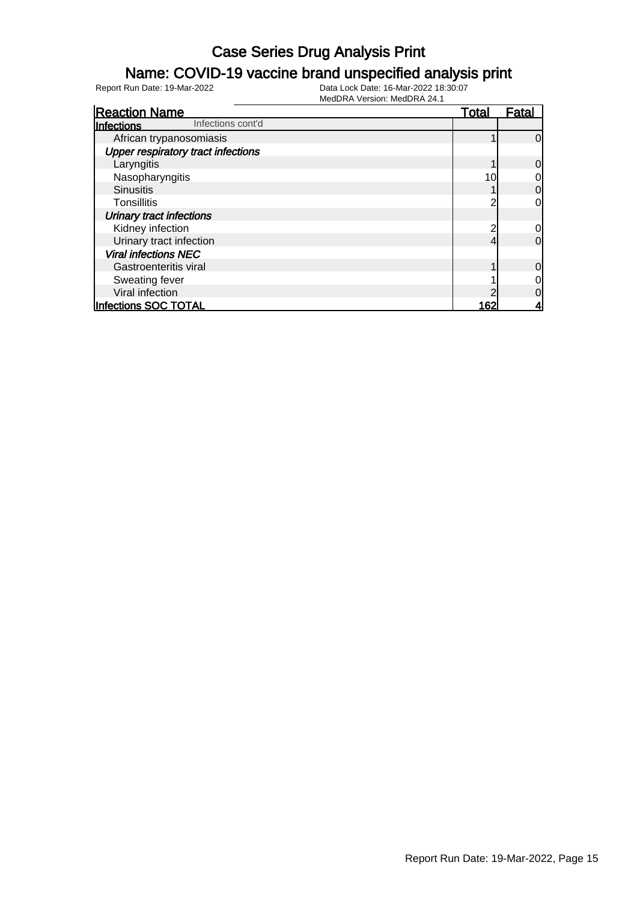#### Name: COVID-19 vaccine brand unspecified analysis print

| <b>Reaction Name</b>                      | Total | Fatal    |
|-------------------------------------------|-------|----------|
| Infections cont'd<br>Infections           |       |          |
| African trypanosomiasis                   |       | 0        |
| <b>Upper respiratory tract infections</b> |       |          |
| Laryngitis                                |       | 0        |
| Nasopharyngitis                           | 10    | 0        |
| <b>Sinusitis</b>                          |       | 0        |
| Tonsillitis                               |       | 0        |
| <b>Urinary tract infections</b>           |       |          |
| Kidney infection                          |       | 0        |
| Urinary tract infection                   |       | $\Omega$ |
| <b>Viral infections NEC</b>               |       |          |
| Gastroenteritis viral                     |       | 0        |
| Sweating fever                            |       | 0        |
| Viral infection                           |       | 0        |
| Infections SOC TOTAL                      | 162   |          |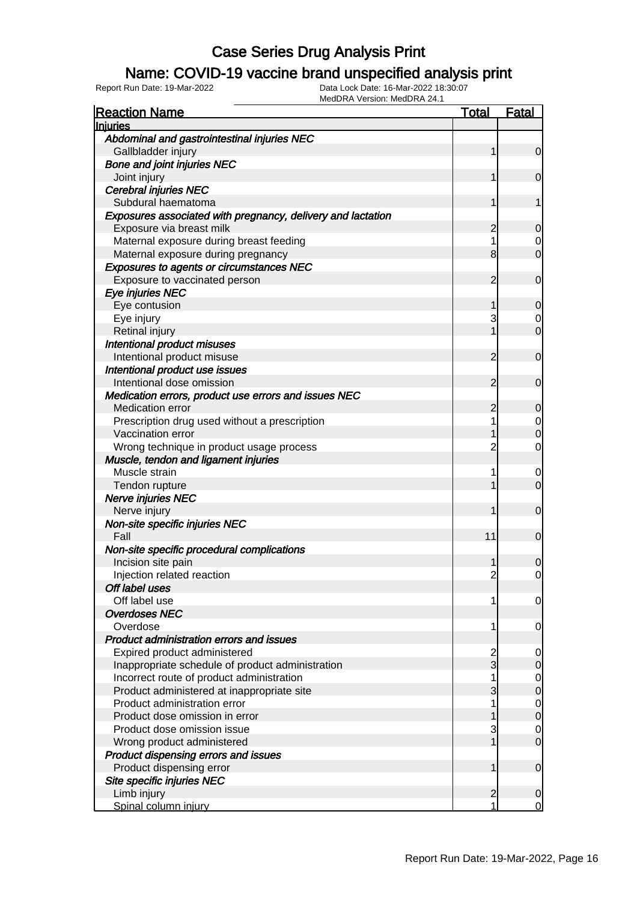#### Name: COVID-19 vaccine brand unspecified analysis print

| <b>Reaction Name</b>                                                       | <u>Total</u>        | <b>Fatal</b>                  |
|----------------------------------------------------------------------------|---------------------|-------------------------------|
| <b>Injuries</b>                                                            |                     |                               |
| Abdominal and gastrointestinal injuries NEC                                |                     |                               |
| Gallbladder injury                                                         | 1                   | $\overline{0}$                |
| <b>Bone and joint injuries NEC</b>                                         |                     |                               |
| Joint injury                                                               | 1                   | $\mathbf 0$                   |
| <b>Cerebral injuries NEC</b>                                               |                     |                               |
| Subdural haematoma                                                         | 1                   | 1                             |
| Exposures associated with pregnancy, delivery and lactation                |                     |                               |
| Exposure via breast milk                                                   | 2                   | $\overline{0}$                |
| Maternal exposure during breast feeding                                    | 1                   | $\mathbf 0$                   |
| Maternal exposure during pregnancy                                         | 8                   | $\overline{0}$                |
| <b>Exposures to agents or circumstances NEC</b>                            |                     |                               |
| Exposure to vaccinated person                                              | 2                   | $\mathbf 0$                   |
| Eye injuries NEC                                                           |                     |                               |
| Eye contusion                                                              | 1                   | $\overline{0}$                |
| Eye injury                                                                 | 3                   | $\mathbf 0$                   |
| Retinal injury                                                             |                     | $\overline{0}$                |
| Intentional product misuses                                                |                     |                               |
| Intentional product misuse                                                 | 2                   | $\mathbf 0$                   |
| Intentional product use issues                                             |                     |                               |
| Intentional dose omission                                                  | 2                   | $\mathbf 0$                   |
| Medication errors, product use errors and issues NEC                       |                     |                               |
| <b>Medication error</b>                                                    | 2                   | 0                             |
| Prescription drug used without a prescription                              | 1                   | $\overline{0}$                |
| Vaccination error                                                          |                     | $\overline{0}$                |
| Wrong technique in product usage process                                   | $\overline{2}$      | $\overline{0}$                |
| Muscle, tendon and ligament injuries                                       |                     |                               |
| Muscle strain                                                              | 1                   | $\mathbf 0$                   |
| Tendon rupture                                                             |                     | $\overline{0}$                |
| Nerve injuries NEC                                                         |                     |                               |
| Nerve injury                                                               | 1                   | $\mathbf 0$                   |
| Non-site specific injuries NEC                                             |                     |                               |
| Fall                                                                       | 11                  | $\mathbf 0$                   |
| Non-site specific procedural complications                                 |                     |                               |
| Incision site pain                                                         |                     | 0                             |
| Injection related reaction                                                 | $\overline{2}$      | $\overline{0}$                |
| Off label uses                                                             |                     |                               |
| Off label use                                                              | 1                   | $\overline{0}$                |
| <b>Overdoses NEC</b>                                                       |                     |                               |
| Overdose                                                                   | 1                   | 0                             |
| Product administration errors and issues                                   |                     |                               |
| Expired product administered                                               | 2<br>$\overline{3}$ | 0                             |
| Inappropriate schedule of product administration                           |                     | $\mathsf{O}\xspace$           |
| Incorrect route of product administration                                  | 3                   | $\overline{0}$<br>$\pmb{0}$   |
| Product administered at inappropriate site<br>Product administration error |                     |                               |
| Product dose omission in error                                             |                     | $\overline{0}$<br>$\mathbf 0$ |
| Product dose omission issue                                                | 3                   | $\mathbf 0$                   |
| Wrong product administered                                                 | 1                   | $\overline{0}$                |
| Product dispensing errors and issues                                       |                     |                               |
| Product dispensing error                                                   | 1                   | $\mathbf 0$                   |
| Site specific injuries NEC                                                 |                     |                               |
| Limb injury                                                                | $\mathbf{2}$        | 0                             |
| Spinal column injury                                                       |                     | $\overline{0}$                |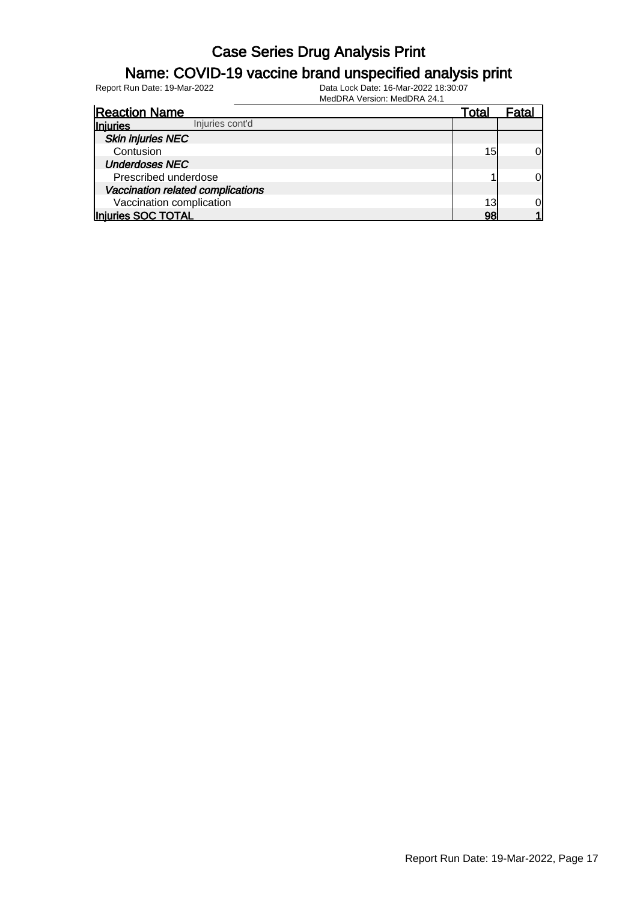### Name: COVID-19 vaccine brand unspecified analysis print

| <b>Reaction Name</b>              | Total | Fata |
|-----------------------------------|-------|------|
| Injuries cont'd<br>Injuries       |       |      |
| <b>Skin injuries NEC</b>          |       |      |
| Contusion                         | 15    | ΩI   |
| <b>Underdoses NEC</b>             |       |      |
| Prescribed underdose              |       | OI   |
| Vaccination related complications |       |      |
| Vaccination complication          | 13    |      |
| Injuries SOC TOTAL                | 98    |      |
|                                   |       |      |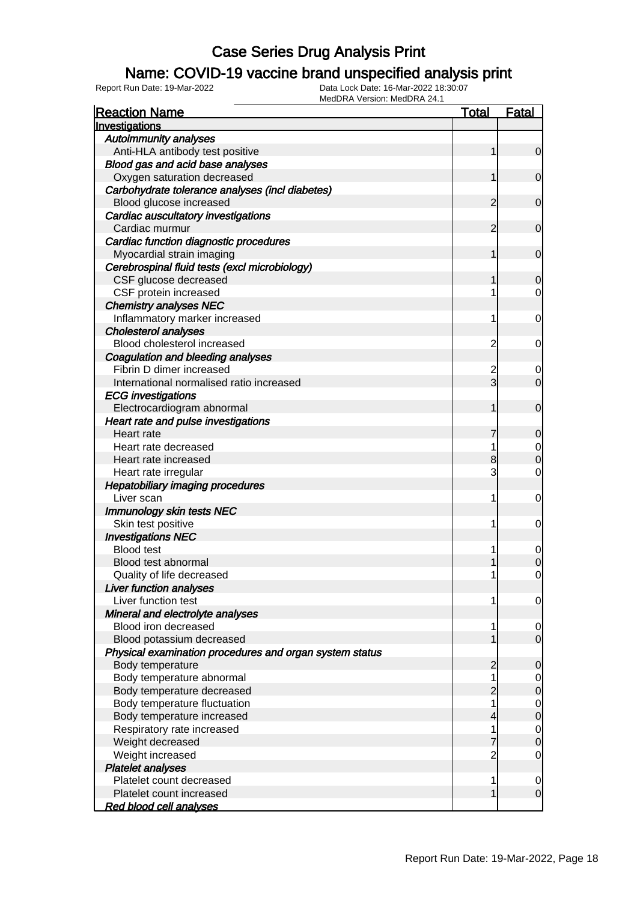### Name: COVID-19 vaccine brand unspecified analysis print

Report Run Date: 19-Mar-2022 Data Lock Date: 16-Mar-2022 18:30:07

| <b>Reaction Name</b>                                    | <u>Total</u>   | <b>Fatal</b>                  |
|---------------------------------------------------------|----------------|-------------------------------|
| Investigations                                          |                |                               |
| <b>Autoimmunity analyses</b>                            |                |                               |
| Anti-HLA antibody test positive                         | 1              | 0                             |
| Blood gas and acid base analyses                        |                |                               |
| Oxygen saturation decreased                             | 1              | $\overline{0}$                |
| Carbohydrate tolerance analyses (incl diabetes)         |                |                               |
| Blood glucose increased                                 | 2              | 0                             |
| Cardiac auscultatory investigations                     |                |                               |
| Cardiac murmur                                          | 2              | 0                             |
| Cardiac function diagnostic procedures                  |                |                               |
| Myocardial strain imaging                               | 1              | 0                             |
| Cerebrospinal fluid tests (excl microbiology)           |                |                               |
| CSF glucose decreased                                   |                | 0                             |
| CSF protein increased                                   |                | 0                             |
| <b>Chemistry analyses NEC</b>                           |                |                               |
| Inflammatory marker increased                           | 1              | 0                             |
| <b>Cholesterol analyses</b>                             |                |                               |
| Blood cholesterol increased                             | 2              | 0                             |
| Coagulation and bleeding analyses                       |                |                               |
| Fibrin D dimer increased                                | 2              | 0                             |
| International normalised ratio increased                | $\overline{3}$ | 0                             |
| <b>ECG</b> investigations                               |                |                               |
| Electrocardiogram abnormal                              | 1              | 0                             |
| Heart rate and pulse investigations                     |                |                               |
| Heart rate                                              |                | 0                             |
| Heart rate decreased                                    | 1              | 0                             |
| Heart rate increased                                    | 8              | 0                             |
| Heart rate irregular                                    | 3              | 0                             |
| <b>Hepatobiliary imaging procedures</b>                 |                |                               |
| Liver scan                                              | 1              | 0                             |
| Immunology skin tests NEC                               |                |                               |
| Skin test positive                                      | 1              | 0                             |
| <b>Investigations NEC</b>                               |                |                               |
| <b>Blood test</b>                                       | 1              | 0                             |
| Blood test abnormal                                     |                |                               |
| Quality of life decreased                               |                | 0                             |
| <b>Liver function analyses</b>                          |                |                               |
| Liver function test                                     | 1              | $\mathbf 0$                   |
| Mineral and electrolyte analyses                        |                |                               |
| Blood iron decreased                                    | 1              | $\overline{0}$                |
| Blood potassium decreased                               |                | $\mathbf 0$                   |
| Physical examination procedures and organ system status |                |                               |
| Body temperature                                        | 2              | 0                             |
| Body temperature abnormal                               | 1              |                               |
| Body temperature decreased                              |                | $\overline{0}$<br>$\mathbf 0$ |
| Body temperature fluctuation                            | 2<br>1         |                               |
|                                                         |                | $\mathbf 0$                   |
| Body temperature increased                              | 4              | $\mathbf 0$                   |
| Respiratory rate increased                              | 1              | $\mathbf 0$                   |
| Weight decreased                                        |                | $\mathbf 0$                   |
| Weight increased                                        | 2              | 0                             |
| <b>Platelet analyses</b>                                |                |                               |
| Platelet count decreased                                | 1              | 0                             |
| Platelet count increased                                | 1              | $\mathbf 0$                   |
| <b>Red blood cell analyses</b>                          |                |                               |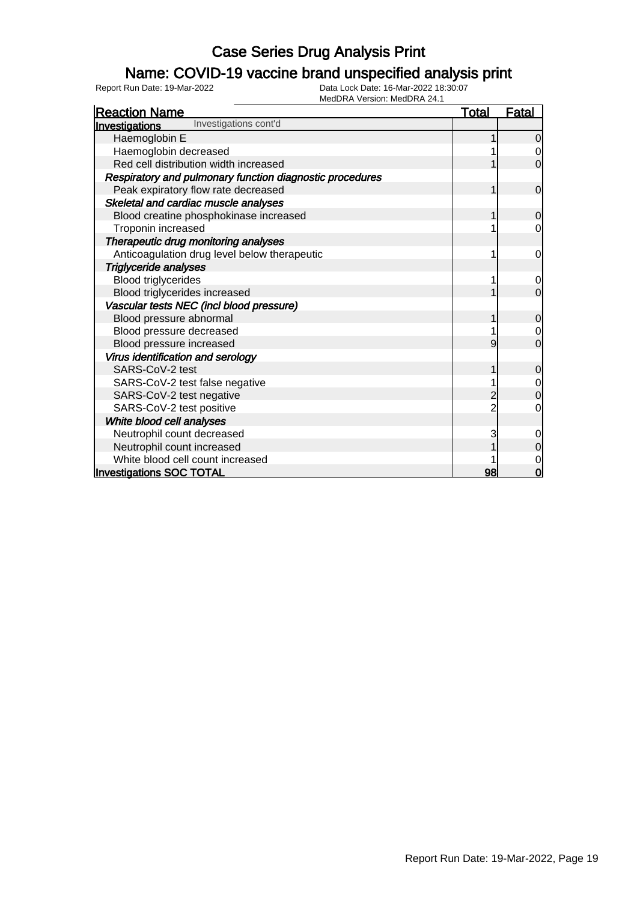### Name: COVID-19 vaccine brand unspecified analysis print

| MEQURA VEISION: MEQURA 24.1                              |              |              |
|----------------------------------------------------------|--------------|--------------|
| <b>Reaction Name</b>                                     | <u>Total</u> | <u>Fatal</u> |
| Investigations cont'd<br>Investigations                  |              |              |
| Haemoglobin E                                            |              | $\Omega$     |
| Haemoglobin decreased                                    |              |              |
| Red cell distribution width increased                    |              | 0            |
| Respiratory and pulmonary function diagnostic procedures |              |              |
| Peak expiratory flow rate decreased                      |              | $\mathbf 0$  |
| Skeletal and cardiac muscle analyses                     |              |              |
| Blood creatine phosphokinase increased                   |              | $\Omega$     |
| Troponin increased                                       |              | 0            |
| Therapeutic drug monitoring analyses                     |              |              |
| Anticoagulation drug level below therapeutic             |              | 0            |
| <b>Triglyceride analyses</b>                             |              |              |
| <b>Blood triglycerides</b>                               |              | 0            |
| Blood triglycerides increased                            |              | $\Omega$     |
| Vascular tests NEC (incl blood pressure)                 |              |              |
| Blood pressure abnormal                                  |              | $\mathbf 0$  |
| Blood pressure decreased                                 |              |              |
| Blood pressure increased                                 | 9            | 0            |
| Virus identification and serology                        |              |              |
| SARS-CoV-2 test                                          |              | $\Omega$     |
| SARS-CoV-2 test false negative                           |              |              |
| SARS-CoV-2 test negative                                 |              | 0            |
| SARS-CoV-2 test positive                                 |              | 0            |
| White blood cell analyses                                |              |              |
| Neutrophil count decreased                               | 3            |              |
| Neutrophil count increased                               |              | $\Omega$     |
| White blood cell count increased                         |              |              |
| <b>Investigations SOC TOTAL</b>                          | 98           | 0            |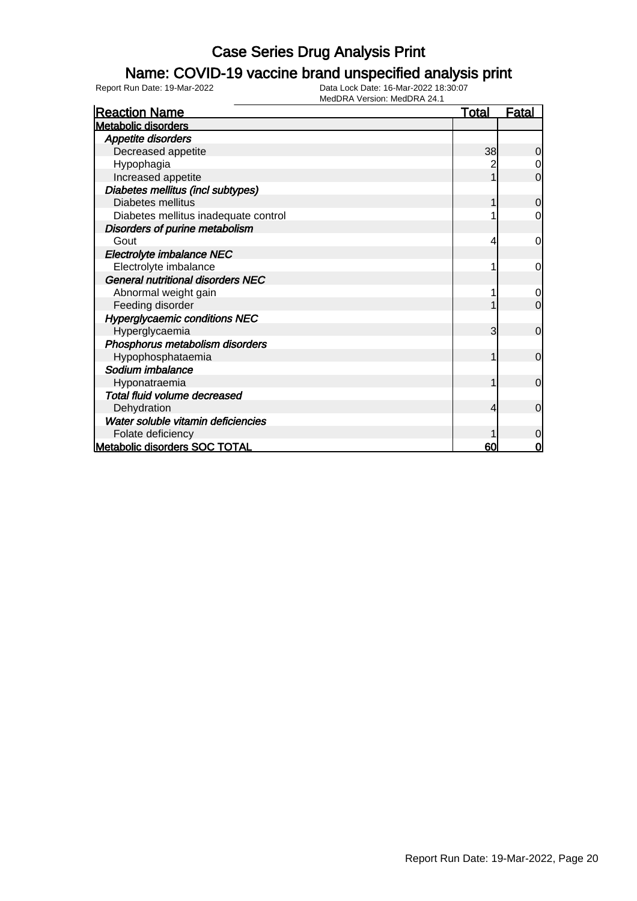### Name: COVID-19 vaccine brand unspecified analysis print

Report Run Date: 19-Mar-2022 Data Lock Date: 16-Mar-2022 18:30:07

| <b>Reaction Name</b>                     | <u>Total</u> | <b>Fatal</b>   |
|------------------------------------------|--------------|----------------|
| <b>Metabolic disorders</b>               |              |                |
| Appetite disorders                       |              |                |
| Decreased appetite                       | 38           | 0              |
| Hypophagia                               |              | $\overline{0}$ |
| Increased appetite                       |              | $\mathbf 0$    |
| Diabetes mellitus (incl subtypes)        |              |                |
| Diabetes mellitus                        |              | $\mathbf 0$    |
| Diabetes mellitus inadequate control     |              | $\overline{0}$ |
| Disorders of purine metabolism           |              |                |
| Gout                                     | 4            | 0              |
| Electrolyte imbalance NEC                |              |                |
| Electrolyte imbalance                    |              | 0              |
| <b>General nutritional disorders NEC</b> |              |                |
| Abnormal weight gain                     |              | 0              |
| Feeding disorder                         |              | $\overline{0}$ |
| <b>Hyperglycaemic conditions NEC</b>     |              |                |
| Hyperglycaemia                           | 3            | $\mathbf 0$    |
| Phosphorus metabolism disorders          |              |                |
| Hypophosphataemia                        |              | $\overline{0}$ |
| Sodium imbalance                         |              |                |
| Hyponatraemia                            |              | $\mathbf 0$    |
| Total fluid volume decreased             |              |                |
| Dehydration                              | 4            | $\Omega$       |
| Water soluble vitamin deficiencies       |              |                |
| Folate deficiency                        |              | $\overline{0}$ |
| Metabolic disorders SOC TOTAL            | 60           | 0              |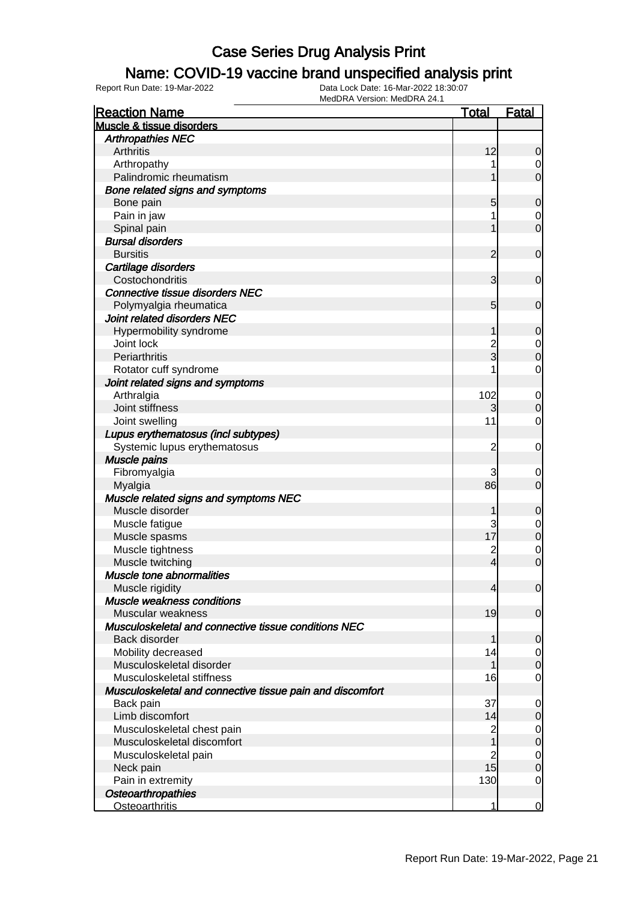### Name: COVID-19 vaccine brand unspecified analysis print

| <b>Reaction Name</b>                                      | <b>Total</b>            | Fatal          |
|-----------------------------------------------------------|-------------------------|----------------|
| Muscle & tissue disorders                                 |                         |                |
| <b>Arthropathies NEC</b>                                  |                         |                |
| Arthritis                                                 | 12                      | 0              |
| Arthropathy                                               |                         | 0              |
| Palindromic rheumatism                                    |                         | $\mathbf 0$    |
| Bone related signs and symptoms                           |                         |                |
| Bone pain                                                 | 5                       | $\mathbf 0$    |
| Pain in jaw                                               |                         | 0              |
| Spinal pain                                               |                         | $\mathbf 0$    |
| <b>Bursal disorders</b>                                   |                         |                |
| <b>Bursitis</b>                                           | $\overline{2}$          | $\mathbf 0$    |
| Cartilage disorders                                       |                         |                |
| Costochondritis                                           | 3                       | $\mathbf 0$    |
| <b>Connective tissue disorders NEC</b>                    |                         |                |
| Polymyalgia rheumatica                                    | 5                       | $\mathbf 0$    |
| Joint related disorders NEC                               |                         |                |
| Hypermobility syndrome                                    | 1                       | $\mathbf 0$    |
| Joint lock                                                | $\overline{c}$          | 0              |
| Periarthritis                                             | 3                       | $\mathbf 0$    |
| Rotator cuff syndrome                                     |                         | $\mathbf 0$    |
| Joint related signs and symptoms                          |                         |                |
| Arthralgia                                                | 102                     | $\mathbf 0$    |
| Joint stiffness                                           | 3                       | $\mathbf 0$    |
| Joint swelling                                            | 11                      | $\mathbf 0$    |
| Lupus erythematosus (incl subtypes)                       |                         |                |
| Systemic lupus erythematosus                              | $\overline{2}$          | 0              |
| <b>Muscle pains</b>                                       |                         |                |
| Fibromyalgia                                              | 3                       | 0              |
| Myalgia                                                   | 86                      | $\mathbf 0$    |
| Muscle related signs and symptoms NEC                     |                         |                |
| Muscle disorder                                           | 1                       | $\mathbf 0$    |
| Muscle fatigue                                            | 3                       | 0              |
| Muscle spasms                                             | 17                      | $\mathbf 0$    |
| Muscle tightness                                          | $\overline{c}$          | $\mathbf 0$    |
| Muscle twitching                                          | $\overline{\mathbf{4}}$ | $\mathbf 0$    |
| Muscle tone abnormalities                                 |                         |                |
| Muscle rigidity                                           | $\overline{4}$          | $\overline{0}$ |
| Muscle weakness conditions                                |                         |                |
| Muscular weakness                                         | 19                      | $\mathbf 0$    |
| Musculoskeletal and connective tissue conditions NEC      |                         |                |
| Back disorder                                             | 1                       | $\mathbf 0$    |
| Mobility decreased                                        | 14                      | 0              |
| Musculoskeletal disorder                                  | 1                       | $\mathbf 0$    |
| Musculoskeletal stiffness                                 | 16                      | $\overline{0}$ |
| Musculoskeletal and connective tissue pain and discomfort |                         |                |
| Back pain                                                 | 37                      | $\mathbf 0$    |
| Limb discomfort                                           | 14                      | $\mathbf 0$    |
| Musculoskeletal chest pain                                | $\overline{c}$          | $\overline{0}$ |
| Musculoskeletal discomfort                                | 1                       | $\mathbf 0$    |
| Musculoskeletal pain                                      | $\overline{c}$          | $\overline{0}$ |
| Neck pain                                                 | 15                      | $\mathbf 0$    |
| Pain in extremity                                         | 130                     | $\overline{0}$ |
| <b>Osteoarthropathies</b>                                 |                         |                |
| <b>Osteoarthritis</b>                                     | 1                       | $\mathbf 0$    |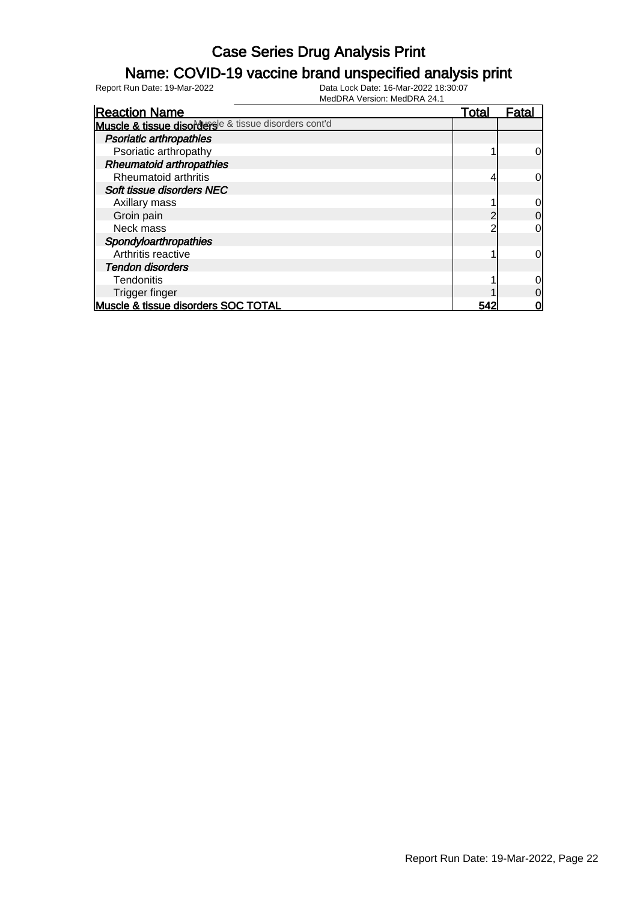### Name: COVID-19 vaccine brand unspecified analysis print

| <b>Reaction Name</b>                                  | Total | Fatal          |
|-------------------------------------------------------|-------|----------------|
| Muscle & tissue disordersle & tissue disorders cont'd |       |                |
| <b>Psoriatic arthropathies</b>                        |       |                |
| Psoriatic arthropathy                                 |       | 0l             |
| <b>Rheumatoid arthropathies</b>                       |       |                |
| Rheumatoid arthritis                                  |       | 0l             |
| Soft tissue disorders NEC                             |       |                |
| Axillary mass                                         |       | 0              |
| Groin pain                                            | ◠     | $\overline{0}$ |
| Neck mass                                             | ◠     | 0l             |
| Spondyloarthropathies                                 |       |                |
| Arthritis reactive                                    |       | 0l             |
| <b>Tendon disorders</b>                               |       |                |
| <b>Tendonitis</b>                                     |       | 0l             |
| Trigger finger                                        |       | 0              |
| Muscle & tissue disorders SOC TOTAL                   | 542   | 0              |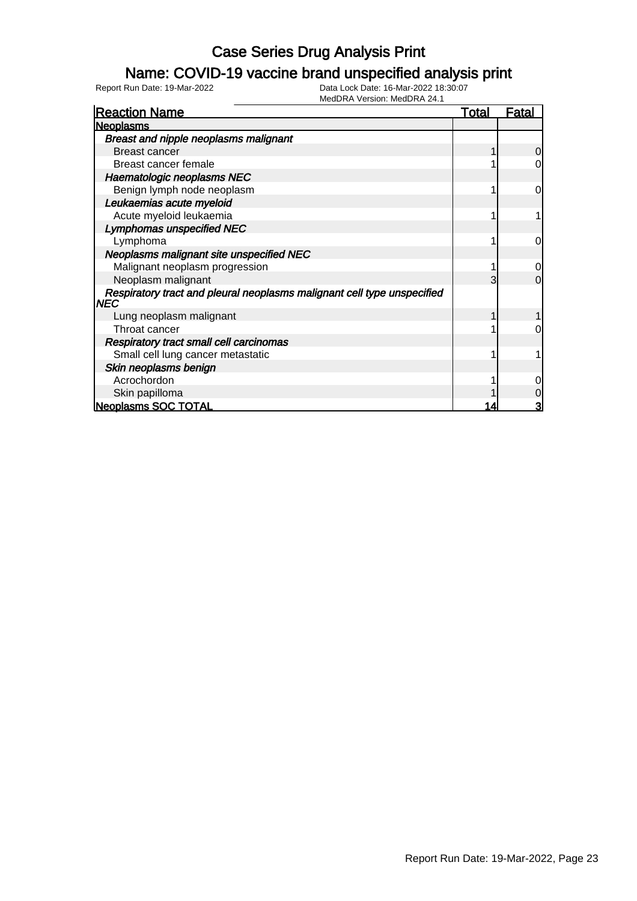### Name: COVID-19 vaccine brand unspecified analysis print

| <b>Reaction Name</b>                                                            | <u>Total</u> | <u>Fatal</u>   |
|---------------------------------------------------------------------------------|--------------|----------------|
| <b>Neoplasms</b>                                                                |              |                |
| <b>Breast and nipple neoplasms malignant</b>                                    |              |                |
| <b>Breast cancer</b>                                                            |              | $\overline{0}$ |
| Breast cancer female                                                            |              | 0              |
| Haematologic neoplasms NEC                                                      |              |                |
| Benign lymph node neoplasm                                                      |              | 0              |
| Leukaemias acute myeloid                                                        |              |                |
| Acute myeloid leukaemia                                                         |              |                |
| <b>Lymphomas unspecified NEC</b>                                                |              |                |
| Lymphoma                                                                        |              | 0              |
| Neoplasms malignant site unspecified NEC                                        |              |                |
| Malignant neoplasm progression                                                  |              | 0              |
| Neoplasm malignant                                                              |              | $\Omega$       |
| Respiratory tract and pleural neoplasms malignant cell type unspecified<br> NEC |              |                |
| Lung neoplasm malignant                                                         |              |                |
| Throat cancer                                                                   |              | O              |
| <b>Respiratory tract small cell carcinomas</b>                                  |              |                |
| Small cell lung cancer metastatic                                               |              |                |
| Skin neoplasms benign                                                           |              |                |
| Acrochordon                                                                     |              | 0              |
| Skin papilloma                                                                  |              | 0              |
| <b>Neoplasms SOC TOTAL</b>                                                      | 14           | 3              |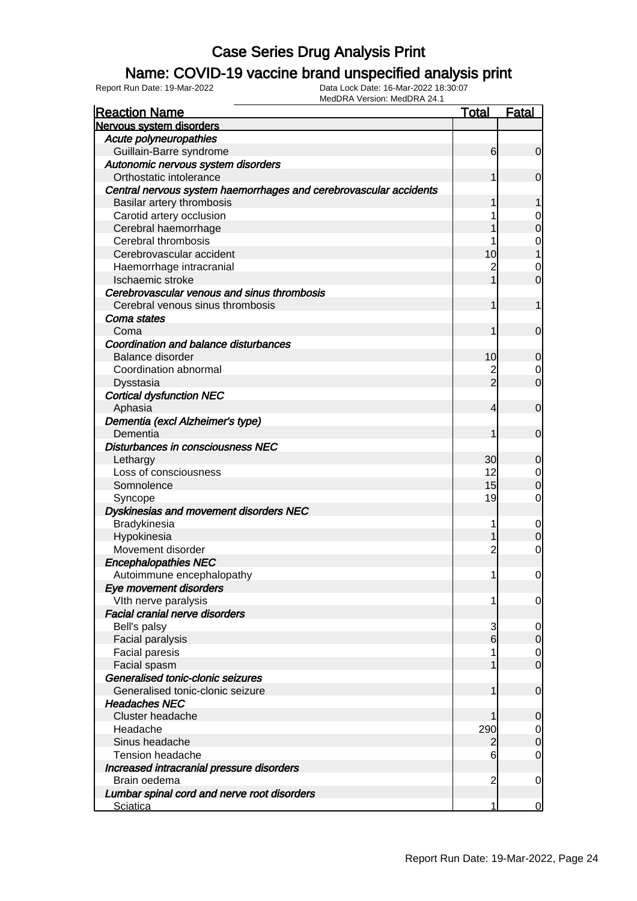### Name: COVID-19 vaccine brand unspecified analysis print

Report Run Date: 19-Mar-2022 Data Lock Date: 16-Mar-2022 18:30:07

| <b>Reaction Name</b>                                              | <b>Total</b>    | <b>Fatal</b>          |
|-------------------------------------------------------------------|-----------------|-----------------------|
| Nervous system disorders                                          |                 |                       |
| Acute polyneuropathies                                            |                 |                       |
| Guillain-Barre syndrome                                           | 6               | $\overline{0}$        |
| Autonomic nervous system disorders                                |                 |                       |
| Orthostatic intolerance                                           |                 | $\mathbf 0$           |
| Central nervous system haemorrhages and cerebrovascular accidents |                 |                       |
| Basilar artery thrombosis                                         |                 |                       |
| Carotid artery occlusion                                          |                 | 0                     |
| Cerebral haemorrhage                                              |                 | $\boldsymbol{0}$      |
| Cerebral thrombosis                                               |                 | 0                     |
| Cerebrovascular accident                                          | 10              |                       |
| Haemorrhage intracranial                                          | $\mathbf 2$     | 0                     |
| Ischaemic stroke                                                  |                 | $\overline{0}$        |
| Cerebrovascular venous and sinus thrombosis                       |                 |                       |
| Cerebral venous sinus thrombosis                                  | 1               | 1                     |
| Coma states                                                       |                 |                       |
| Coma                                                              | 1               | $\mathbf 0$           |
| Coordination and balance disturbances                             |                 |                       |
| <b>Balance disorder</b>                                           | 10              | 0                     |
| Coordination abnormal                                             | $\overline{c}$  | 0                     |
| Dysstasia                                                         | $\overline{2}$  | $\overline{0}$        |
| <b>Cortical dysfunction NEC</b>                                   |                 |                       |
| Aphasia                                                           | 4               | $\mathbf 0$           |
| Dementia (excl Alzheimer's type)                                  |                 |                       |
| Dementia                                                          | 1               | $\mathbf 0$           |
| Disturbances in consciousness NEC                                 |                 |                       |
| Lethargy                                                          | 30 <sub>l</sub> | 0                     |
| Loss of consciousness                                             | 12              | 0                     |
| Somnolence                                                        | 15              | $\mathbf 0$           |
| Syncope                                                           | 19              | 0                     |
| Dyskinesias and movement disorders NEC                            |                 |                       |
| Bradykinesia                                                      | 1               | 0                     |
| Hypokinesia                                                       |                 | $\mathbf 0$           |
| Movement disorder                                                 | $\overline{c}$  | 0                     |
| <b>Encephalopathies NEC</b>                                       |                 |                       |
| Autoimmune encephalopathy                                         | 1               | 0                     |
| Eye movement disorders                                            |                 |                       |
| Vith nerve paralysis                                              | 1               | 0                     |
| <b>Facial cranial nerve disorders</b>                             |                 |                       |
| Bell's palsy                                                      | 3               | 0                     |
| Facial paralysis                                                  | $6\overline{6}$ | $\mathbf 0$           |
| <b>Facial paresis</b>                                             |                 | $\overline{0}$        |
| Facial spasm                                                      |                 | $\overline{0}$        |
| Generalised tonic-clonic seizures                                 |                 |                       |
| Generalised tonic-clonic seizure                                  | 1               | $\mathbf 0$           |
| <b>Headaches NEC</b>                                              |                 |                       |
| Cluster headache                                                  |                 | 0                     |
| Headache                                                          | 290             |                       |
| Sinus headache                                                    |                 | 0<br>$\boldsymbol{0}$ |
| <b>Tension headache</b>                                           | 2               | 0                     |
|                                                                   | 6               |                       |
| Increased intracranial pressure disorders<br>Brain oedema         | $\overline{c}$  |                       |
|                                                                   |                 | 0                     |
| Lumbar spinal cord and nerve root disorders                       | 1               |                       |
| <b>Sciatica</b>                                                   |                 | 0                     |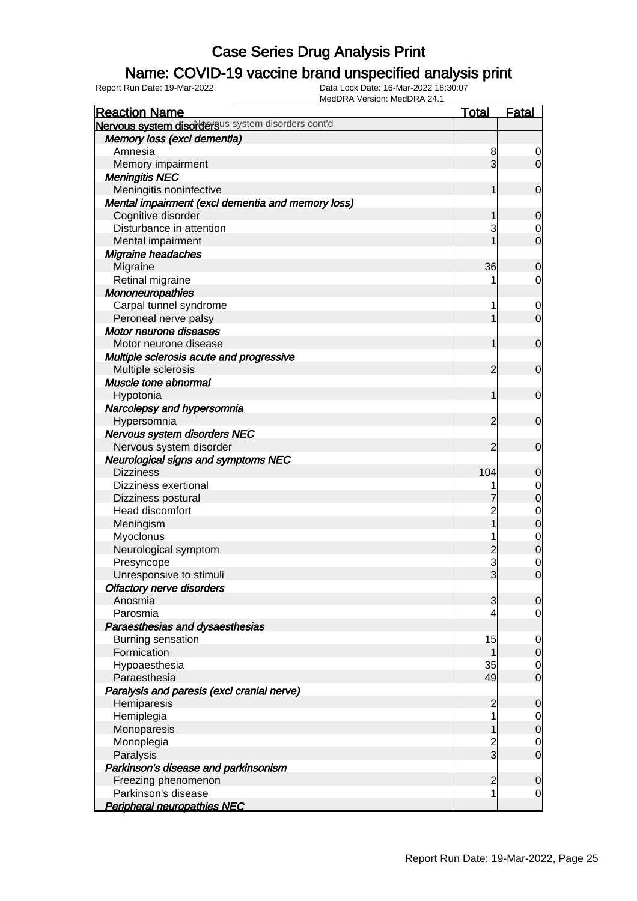### Name: COVID-19 vaccine brand unspecified analysis print

| <b>Reaction Name</b>                               | <b>Total</b>                     | <b>Fatal</b>                     |
|----------------------------------------------------|----------------------------------|----------------------------------|
| Nervous system disordersus system disorders cont'd |                                  |                                  |
| Memory loss (excl dementia)                        |                                  |                                  |
| Amnesia                                            | 8                                | 0                                |
| Memory impairment                                  | 3                                | $\overline{0}$                   |
| <b>Meningitis NEC</b>                              |                                  |                                  |
| Meningitis noninfective                            | 1                                | $\mathbf 0$                      |
| Mental impairment (excl dementia and memory loss)  |                                  |                                  |
| Cognitive disorder                                 | 1                                | $\mathbf 0$                      |
| Disturbance in attention                           | 3                                | 0                                |
| Mental impairment                                  |                                  | $\mathbf 0$                      |
| Migraine headaches                                 |                                  |                                  |
| Migraine                                           | 36                               | $\mathbf 0$                      |
| Retinal migraine                                   |                                  | $\mathbf 0$                      |
| Mononeuropathies                                   |                                  |                                  |
| Carpal tunnel syndrome                             | 1                                | $\mathbf 0$                      |
| Peroneal nerve palsy                               | 1                                | $\mathbf 0$                      |
| Motor neurone diseases                             |                                  |                                  |
| Motor neurone disease                              | 1                                | $\mathbf 0$                      |
| Multiple sclerosis acute and progressive           |                                  |                                  |
| Multiple sclerosis                                 | 2                                | $\mathbf 0$                      |
| Muscle tone abnormal                               |                                  |                                  |
| Hypotonia                                          | 1                                | $\mathbf 0$                      |
| Narcolepsy and hypersomnia                         |                                  |                                  |
| Hypersomnia                                        | 2                                | $\mathbf 0$                      |
| Nervous system disorders NEC                       |                                  |                                  |
| Nervous system disorder                            | 2                                | $\mathbf 0$                      |
| <b>Neurological signs and symptoms NEC</b>         |                                  |                                  |
| <b>Dizziness</b>                                   | 104                              | $\mathbf 0$                      |
| <b>Dizziness exertional</b>                        |                                  | $\mathbf 0$                      |
| Dizziness postural                                 |                                  | $\overline{0}$                   |
| Head discomfort                                    | $\overline{2}$                   |                                  |
| Meningism                                          | $\overline{1}$                   | 0                                |
| Myoclonus                                          |                                  |                                  |
| Neurological symptom                               | $\overline{c}$                   | $\begin{matrix}0\\0\end{matrix}$ |
| Presyncope                                         | 3                                |                                  |
| Unresponsive to stimuli                            | $\overline{3}$                   | $\begin{matrix}0\\0\end{matrix}$ |
| <b>Olfactory nerve disorders</b>                   |                                  |                                  |
| Anosmia                                            | $\overline{3}$                   | $\overline{0}$                   |
| Parosmia                                           |                                  | $\overline{0}$                   |
| Paraesthesias and dysaesthesias                    |                                  |                                  |
| Burning sensation                                  | 15                               | $\mathbf 0$                      |
| Formication                                        | 1                                | $\mathbf 0$                      |
| Hypoaesthesia                                      | 35                               |                                  |
| Paraesthesia                                       | 49                               | $\overline{0}$<br>$\mathbf 0$    |
| Paralysis and paresis (excl cranial nerve)         |                                  |                                  |
| Hemiparesis                                        | $\overline{2}$                   |                                  |
|                                                    | 1                                | $\mathbf 0$                      |
| Hemiplegia                                         | 1                                | $\overline{0}$<br>$\pmb{0}$      |
| Monoparesis                                        |                                  |                                  |
| Monoplegia                                         | $\overline{c}$<br>$\overline{3}$ | $\overline{0}$<br>$\mathbf 0$    |
| Paralysis                                          |                                  |                                  |
| Parkinson's disease and parkinsonism               |                                  |                                  |
| Freezing phenomenon                                | $\overline{2}$<br>1              | $\mathbf 0$                      |
| Parkinson's disease                                |                                  | $\mathbf 0$                      |
| <b>Peripheral neuropathies NEC</b>                 |                                  |                                  |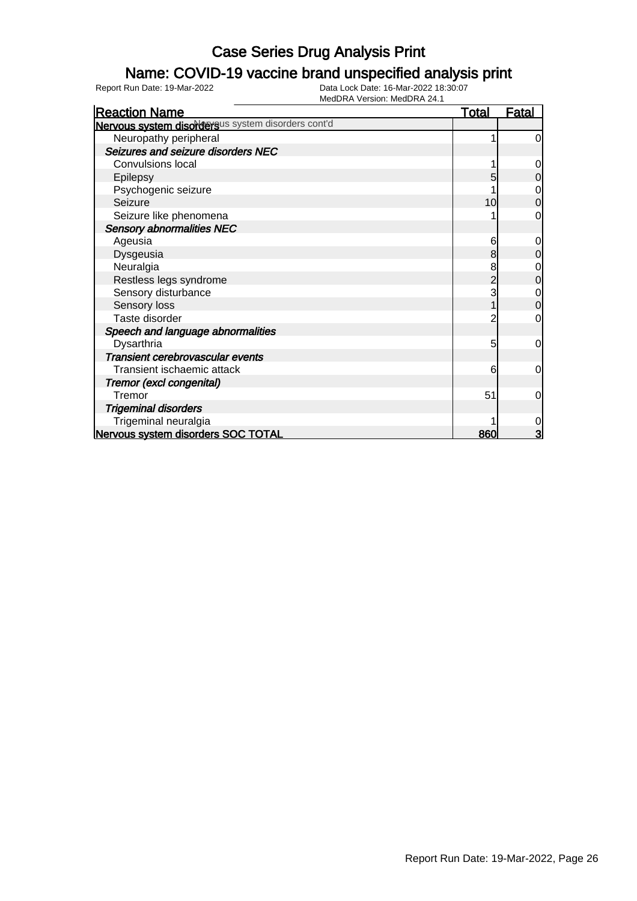### Name: COVID-19 vaccine brand unspecified analysis print

| <b>Reaction Name</b>                               | <b>Total</b> | <u>Fatal</u>   |
|----------------------------------------------------|--------------|----------------|
| Nervous system disordersus system disorders cont'd |              |                |
| Neuropathy peripheral                              |              | 0              |
| Seizures and seizure disorders NEC                 |              |                |
| <b>Convulsions local</b>                           |              | 0              |
| Epilepsy                                           |              | 0              |
| Psychogenic seizure                                |              | $\mathbf 0$    |
| Seizure                                            | 10           | $\overline{0}$ |
| Seizure like phenomena                             |              | $\Omega$       |
| <b>Sensory abnormalities NEC</b>                   |              |                |
| Ageusia                                            | 6            | 0              |
| Dysgeusia                                          | 8            | 0              |
| Neuralgia                                          | 8            | 0              |
| Restless legs syndrome                             |              | 0              |
| Sensory disturbance                                |              | $\mathbf 0$    |
| Sensory loss                                       |              | $\overline{0}$ |
| Taste disorder                                     |              | 0              |
| Speech and language abnormalities                  |              |                |
| Dysarthria                                         | 5            | $\mathbf 0$    |
| Transient cerebrovascular events                   |              |                |
| Transient ischaemic attack                         | 6            | $\mathbf 0$    |
| Tremor (excl congenital)                           |              |                |
| Tremor                                             | 51           | $\Omega$       |
| <b>Trigeminal disorders</b>                        |              |                |
| Trigeminal neuralgia                               |              | $\mathbf 0$    |
| Nervous system disorders SOC TOTAL                 | 860          | 3              |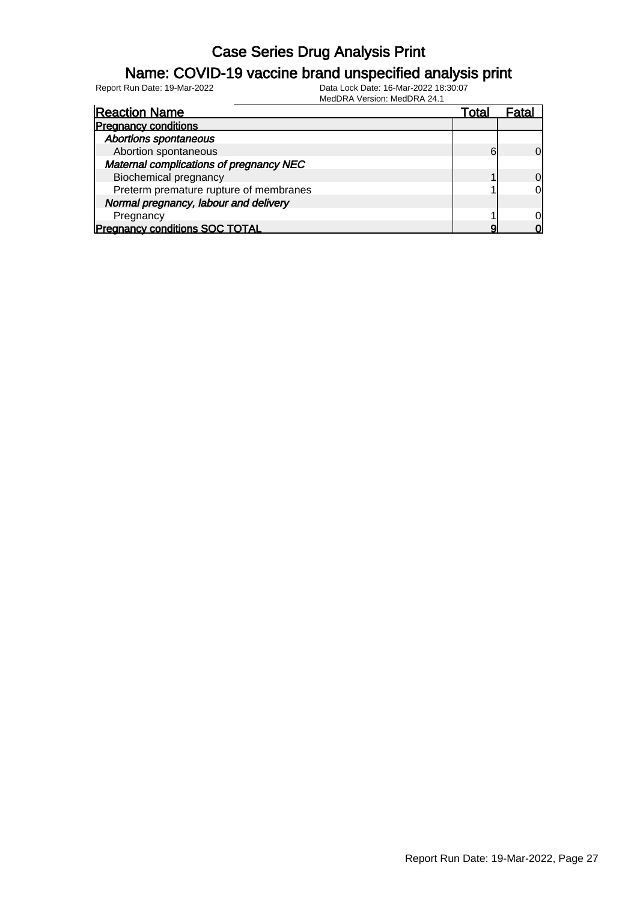### Name: COVID-19 vaccine brand unspecified analysis print

Report Run Date: 19-Mar-2022 Data Lock Date: 16-Mar-2022 18:30:07

| <b>Reaction Name</b>                    | Total | ratal          |
|-----------------------------------------|-------|----------------|
| <b>Pregnancy conditions</b>             |       |                |
| <b>Abortions spontaneous</b>            |       |                |
| Abortion spontaneous                    | 6     | $\Omega$       |
| Maternal complications of pregnancy NEC |       |                |
| <b>Biochemical pregnancy</b>            |       | $\overline{0}$ |
| Preterm premature rupture of membranes  |       | $\overline{0}$ |
| Normal pregnancy, labour and delivery   |       |                |
| Pregnancy                               |       | 0l             |
| <b>Pregnancy conditions SOC TOTAL</b>   |       | U              |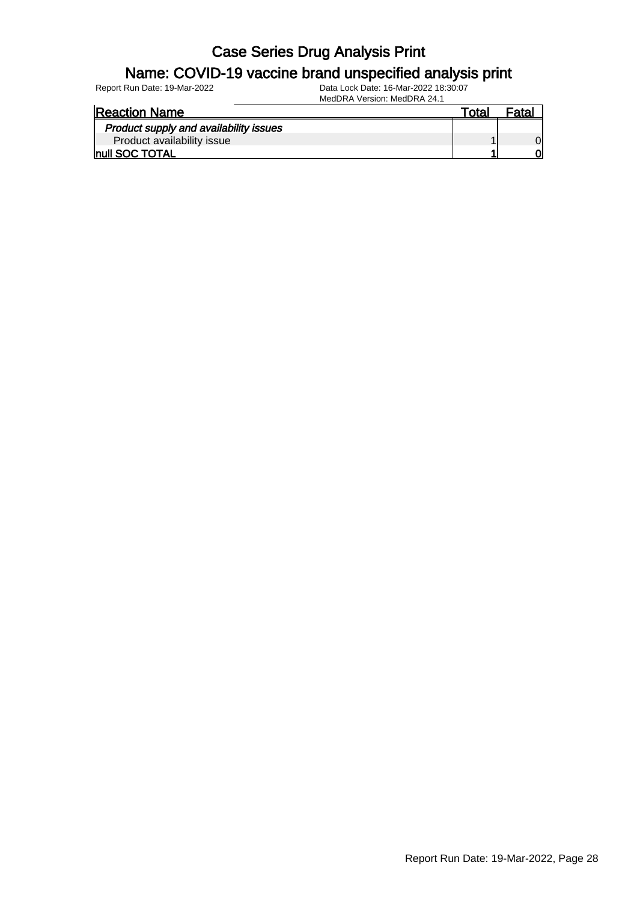#### Name: COVID-19 vaccine brand unspecified analysis print

Report Run Date: 19-Mar-2022 Data Lock Date: 16-Mar-2022 18:30:07

| <b>Reaction Name</b>                   | Total |  |
|----------------------------------------|-------|--|
| Product supply and availability issues |       |  |
| Product availability issue             |       |  |
| <b>Inull SOC TOTAL</b>                 |       |  |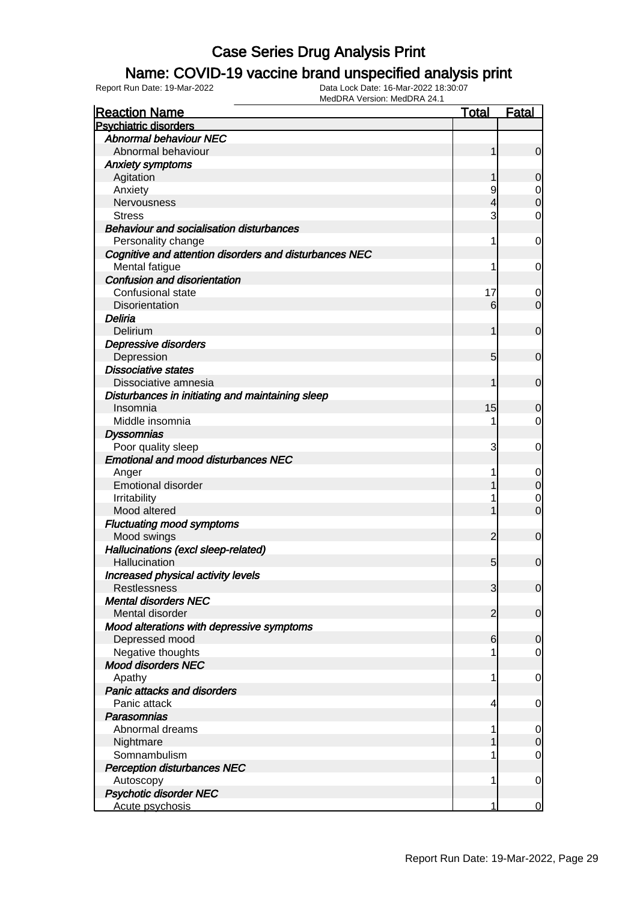### Name: COVID-19 vaccine brand unspecified analysis print

| <b>Reaction Name</b>                                         | <b>Total</b>   | <b>Fatal</b>   |
|--------------------------------------------------------------|----------------|----------------|
| <b>Psychiatric disorders</b>                                 |                |                |
| <b>Abnormal behaviour NEC</b>                                |                |                |
| Abnormal behaviour                                           | 1              | $\mathbf 0$    |
| <b>Anxiety symptoms</b>                                      |                |                |
| Agitation                                                    |                | 0              |
| Anxiety                                                      | 9              | 0              |
| Nervousness                                                  | 4              | $\mathbf 0$    |
| <b>Stress</b>                                                | 3              | 0              |
| <b>Behaviour and socialisation disturbances</b>              |                |                |
| Personality change                                           | 1              | 0              |
| Cognitive and attention disorders and disturbances NEC       |                |                |
| Mental fatigue                                               | 1              | 0              |
| <b>Confusion and disorientation</b>                          |                |                |
| Confusional state                                            | 17             | 0              |
| Disorientation                                               | 6              | $\overline{0}$ |
| Deliria                                                      |                |                |
| Delirium                                                     | 1              | $\mathbf 0$    |
| Depressive disorders                                         |                |                |
| Depression                                                   | 5              | $\mathbf 0$    |
| <b>Dissociative states</b>                                   |                |                |
| Dissociative amnesia                                         | 1              | $\mathbf 0$    |
|                                                              |                |                |
| Disturbances in initiating and maintaining sleep<br>Insomnia |                |                |
|                                                              | 15             | 0              |
| Middle insomnia                                              |                | 0              |
| <b>Dyssomnias</b>                                            |                |                |
| Poor quality sleep                                           | 3              | 0              |
| <b>Emotional and mood disturbances NEC</b>                   |                |                |
| Anger                                                        |                | 0              |
| <b>Emotional disorder</b>                                    |                | $\mathbf 0$    |
| Irritability                                                 |                | 0              |
| Mood altered                                                 |                | $\overline{0}$ |
| <b>Fluctuating mood symptoms</b>                             |                |                |
| Mood swings                                                  | $\overline{2}$ | $\mathbf 0$    |
| Hallucinations (excl sleep-related)                          |                |                |
| Hallucination                                                | 5              | $\mathbf 0$    |
| Increased physical activity levels                           |                |                |
| <b>Restlessness</b>                                          | 3              | $\overline{0}$ |
| <b>Mental disorders NEC</b>                                  |                |                |
| Mental disorder                                              | $\overline{2}$ | $\mathbf 0$    |
| Mood alterations with depressive symptoms                    |                |                |
| Depressed mood                                               | 6              | 0              |
| Negative thoughts                                            |                | $\overline{0}$ |
| <b>Mood disorders NEC</b>                                    |                |                |
| Apathy                                                       | 1              | 0              |
| <b>Panic attacks and disorders</b>                           |                |                |
| Panic attack                                                 | 4              | 0              |
| <b>Parasomnias</b>                                           |                |                |
| Abnormal dreams                                              |                | 0              |
| Nightmare                                                    |                | $\mathbf 0$    |
| Somnambulism                                                 |                | $\overline{0}$ |
| <b>Perception disturbances NEC</b>                           |                |                |
| Autoscopy                                                    | 1              | $\mathbf 0$    |
| <b>Psychotic disorder NEC</b>                                |                |                |
| Acute psychosis                                              | 1              | $\mathbf 0$    |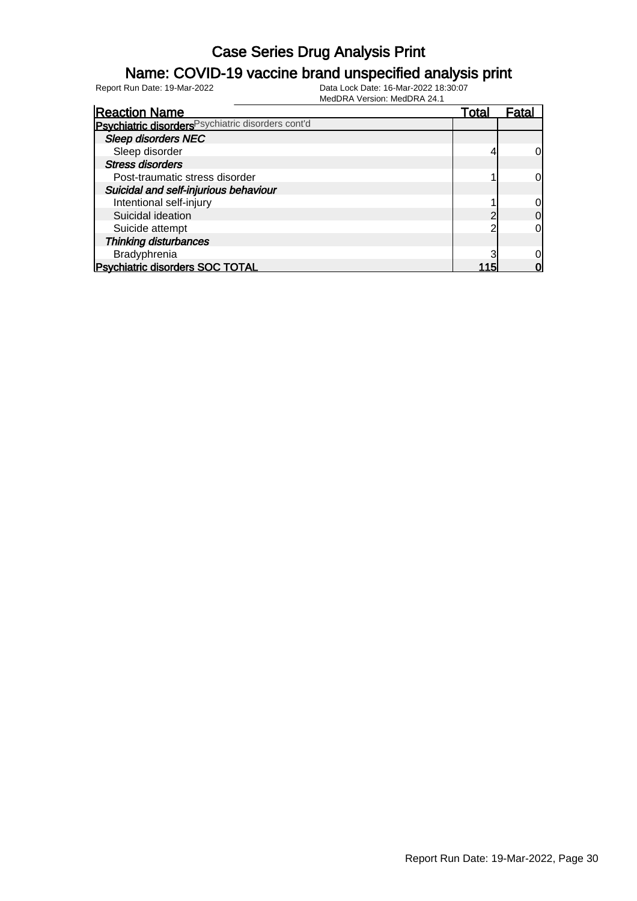### Name: COVID-19 vaccine brand unspecified analysis print

| <b>Reaction Name</b>                               | Total | Fatal |
|----------------------------------------------------|-------|-------|
| Psychiatric disorders Psychiatric disorders cont'd |       |       |
| <b>Sleep disorders NEC</b>                         |       |       |
| Sleep disorder                                     |       |       |
| <b>Stress disorders</b>                            |       |       |
| Post-traumatic stress disorder                     |       |       |
| Suicidal and self-injurious behaviour              |       |       |
| Intentional self-injury                            |       |       |
| Suicidal ideation                                  |       | 0     |
| Suicide attempt                                    |       |       |
| Thinking disturbances                              |       |       |
| Bradyphrenia                                       |       |       |
| <b>Psychiatric disorders SOC TOTAL</b>             |       |       |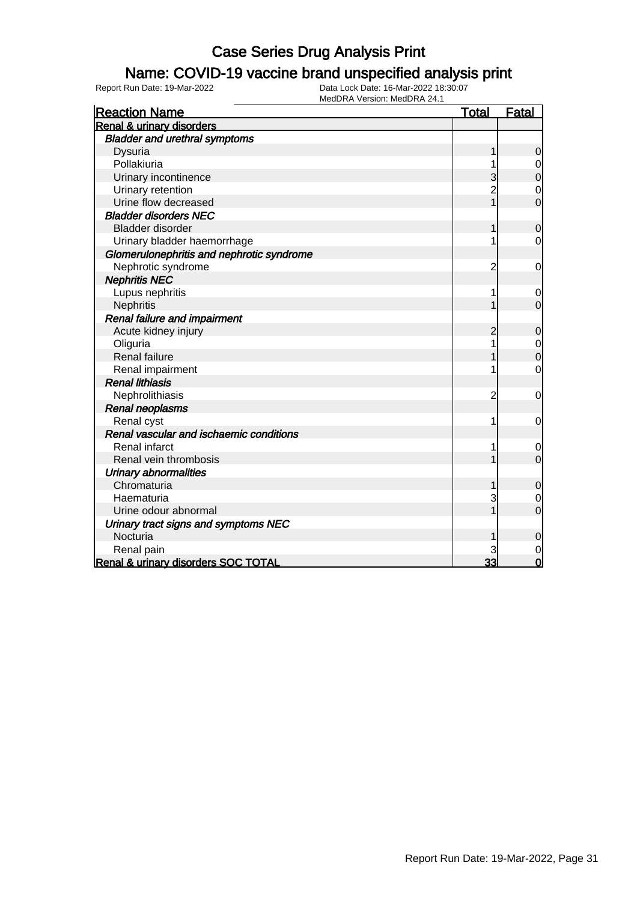#### Name: COVID-19 vaccine brand unspecified analysis print

| <b>Reaction Name</b>                      | <b>Total</b>   | <b>Fatal</b>   |
|-------------------------------------------|----------------|----------------|
| <b>Renal &amp; urinary disorders</b>      |                |                |
| <b>Bladder and urethral symptoms</b>      |                |                |
| Dysuria                                   | 1              | 0              |
| Pollakiuria                               |                | $\mathbf 0$    |
| Urinary incontinence                      | 3              | $\overline{0}$ |
| Urinary retention                         | $\overline{c}$ | $\mathbf 0$    |
| Urine flow decreased                      | $\overline{1}$ | $\overline{0}$ |
| <b>Bladder disorders NEC</b>              |                |                |
| Bladder disorder                          |                | $\mathbf 0$    |
| Urinary bladder haemorrhage               |                | $\mathbf 0$    |
| Glomerulonephritis and nephrotic syndrome |                |                |
| Nephrotic syndrome                        | 2              | 0              |
| <b>Nephritis NEC</b>                      |                |                |
| Lupus nephritis                           | 1              | 0              |
| Nephritis                                 |                | $\overline{0}$ |
| <b>Renal failure and impairment</b>       |                |                |
| Acute kidney injury                       | $\overline{c}$ | $\mathbf 0$    |
| Oliguria                                  | 1              | $\mathbf 0$    |
| <b>Renal failure</b>                      |                | $\mathbf 0$    |
| Renal impairment                          |                | $\mathbf 0$    |
| <b>Renal lithiasis</b>                    |                |                |
| Nephrolithiasis                           | $\overline{c}$ | $\mathbf 0$    |
| Renal neoplasms                           |                |                |
| Renal cyst                                | 1              | 0              |
| Renal vascular and ischaemic conditions   |                |                |
| <b>Renal infarct</b>                      | 1              | $\mathbf 0$    |
| Renal vein thrombosis                     |                | $\overline{0}$ |
| <b>Urinary abnormalities</b>              |                |                |
| Chromaturia                               |                | $\mathbf 0$    |
| Haematuria                                | 3              | $\mathbf 0$    |
| Urine odour abnormal                      |                | $\overline{0}$ |
| Urinary tract signs and symptoms NEC      |                |                |
| Nocturia                                  |                | 0              |
| Renal pain                                | 3              | $\mathbf 0$    |
| Renal & urinary disorders SOC TOTAL       | 33             | $\overline{0}$ |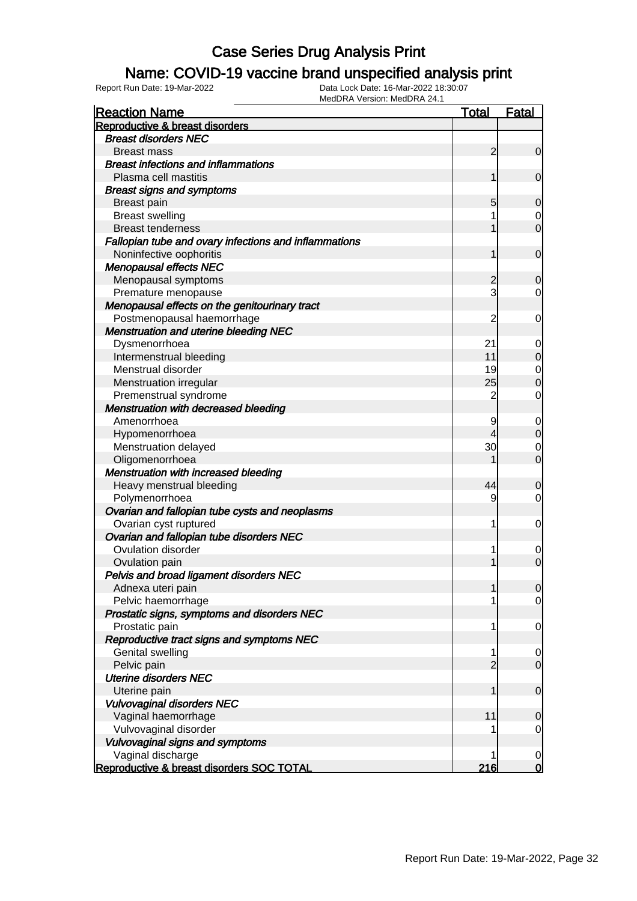#### Name: COVID-19 vaccine brand unspecified analysis print

| <b>Reaction Name</b>                                  | <b>Total</b>   | <b>Fatal</b>   |
|-------------------------------------------------------|----------------|----------------|
| Reproductive & breast disorders                       |                |                |
| <b>Breast disorders NEC</b>                           |                |                |
| <b>Breast mass</b>                                    | $\overline{2}$ | $\mathbf 0$    |
| <b>Breast infections and inflammations</b>            |                |                |
| Plasma cell mastitis                                  | 1              | $\mathbf 0$    |
| <b>Breast signs and symptoms</b>                      |                |                |
| Breast pain                                           | 5              | 0              |
| <b>Breast swelling</b>                                |                | $\overline{0}$ |
| <b>Breast tenderness</b>                              |                | $\mathbf 0$    |
| Fallopian tube and ovary infections and inflammations |                |                |
| Noninfective oophoritis                               | 1              | $\mathbf 0$    |
| <b>Menopausal effects NEC</b>                         |                |                |
| Menopausal symptoms                                   | $\overline{c}$ | 0              |
| Premature menopause                                   | 3              | 0              |
| Menopausal effects on the genitourinary tract         |                |                |
| Postmenopausal haemorrhage                            | $\overline{c}$ | 0              |
| <b>Menstruation and uterine bleeding NEC</b>          |                |                |
| Dysmenorrhoea                                         | 21             | 0              |
| Intermenstrual bleeding                               | 11             | $\mathbf 0$    |
| Menstrual disorder                                    | 19             | $\mathbf 0$    |
| Menstruation irregular                                | 25             | $\mathbf 0$    |
| Premenstrual syndrome                                 | $\overline{2}$ | $\mathbf 0$    |
| <b>Menstruation with decreased bleeding</b>           |                |                |
| Amenorrhoea                                           | 9              | 0              |
| Hypomenorrhoea                                        | 4              | $\mathbf 0$    |
| Menstruation delayed                                  | 30             | 0              |
| Oligomenorrhoea                                       |                | $\mathbf 0$    |
| <b>Menstruation with increased bleeding</b>           |                |                |
| Heavy menstrual bleeding                              | 44             | 0              |
| Polymenorrhoea                                        | 9              | 0              |
| Ovarian and fallopian tube cysts and neoplasms        |                |                |
| Ovarian cyst ruptured                                 | 1              | $\mathbf 0$    |
| Ovarian and fallopian tube disorders NEC              |                |                |
| <b>Ovulation disorder</b>                             |                | $\mathbf 0$    |
| Ovulation pain                                        |                | $\mathbf 0$    |
| Pelvis and broad ligament disorders NEC               |                |                |
| Adnexa uteri pain                                     | 1              | $\overline{0}$ |
| Pelvic haemorrhage                                    |                | $\overline{0}$ |
| Prostatic signs, symptoms and disorders NEC           |                |                |
| Prostatic pain                                        | 1              | $\mathbf 0$    |
| Reproductive tract signs and symptoms NEC             |                |                |
| Genital swelling                                      | 1              | 0              |
| Pelvic pain                                           | $\overline{2}$ | $\mathbf 0$    |
| <b>Uterine disorders NEC</b>                          |                |                |
| Uterine pain                                          | 1              | $\mathbf 0$    |
| <b>Vulvovaginal disorders NEC</b>                     |                |                |
| Vaginal haemorrhage                                   | 11             | $\mathbf 0$    |
| Vulvovaginal disorder                                 |                | $\mathbf 0$    |
| Vulvovaginal signs and symptoms                       |                |                |
| Vaginal discharge                                     |                | 0              |
| Reproductive & breast disorders SOC TOTAL             | 216            | $\overline{0}$ |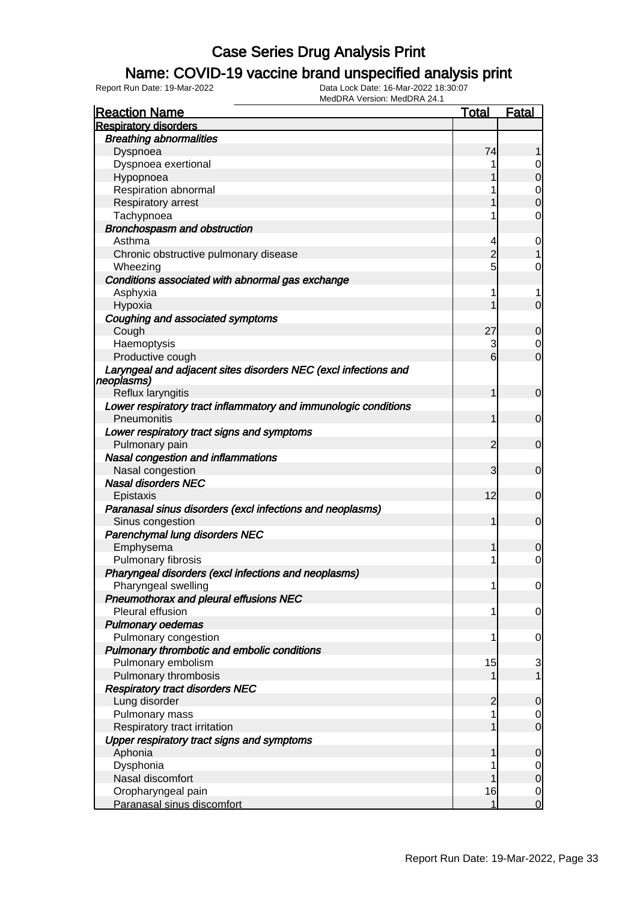### Name: COVID-19 vaccine brand unspecified analysis print

| <b>Reaction Name</b>                                                           | <b>Total</b>   | <b>Fatal</b>   |
|--------------------------------------------------------------------------------|----------------|----------------|
| <b>Respiratory disorders</b>                                                   |                |                |
| <b>Breathing abnormalities</b>                                                 |                |                |
| Dyspnoea                                                                       | 74             |                |
| Dyspnoea exertional                                                            |                | 0              |
| Hypopnoea                                                                      |                | $\mathbf 0$    |
| Respiration abnormal                                                           |                | 0              |
| Respiratory arrest                                                             |                | $\mathbf 0$    |
| Tachypnoea                                                                     |                | $\mathbf 0$    |
| <b>Bronchospasm and obstruction</b>                                            |                |                |
| Asthma                                                                         | 4              | 0              |
| Chronic obstructive pulmonary disease                                          | $\overline{2}$ | 1              |
| Wheezing                                                                       | 5              | 0              |
| Conditions associated with abnormal gas exchange                               |                |                |
| Asphyxia                                                                       | 1              | 1              |
| Hypoxia                                                                        |                | $\overline{0}$ |
| Coughing and associated symptoms                                               |                |                |
| Cough                                                                          | 27             | $\mathbf 0$    |
| Haemoptysis                                                                    | 3              | $\overline{0}$ |
| Productive cough                                                               | 6              | $\overline{0}$ |
| Laryngeal and adjacent sites disorders NEC (excl infections and<br> neoplasms) |                |                |
| Reflux laryngitis                                                              | 1              | $\mathbf 0$    |
| Lower respiratory tract inflammatory and immunologic conditions                |                |                |
| Pneumonitis                                                                    | 1              | $\mathbf 0$    |
| Lower respiratory tract signs and symptoms                                     |                |                |
| Pulmonary pain                                                                 | 2              | $\mathbf 0$    |
| Nasal congestion and inflammations                                             |                |                |
| Nasal congestion                                                               | 3              | $\mathbf 0$    |
| <b>Nasal disorders NEC</b>                                                     |                |                |
| Epistaxis                                                                      | 12             | $\mathbf 0$    |
| Paranasal sinus disorders (excl infections and neoplasms)                      |                |                |
| Sinus congestion                                                               | 1              | $\mathbf 0$    |
| Parenchymal lung disorders NEC                                                 |                |                |
| Emphysema                                                                      |                | 0              |
| Pulmonary fibrosis                                                             | 1              | $\mathbf 0$    |
| Pharyngeal disorders (excl infections and neoplasms)                           |                |                |
| Pharyngeal swelling                                                            | 1              | $\overline{0}$ |
| Pneumothorax and pleural effusions NEC                                         |                |                |
| Pleural effusion                                                               | 1              | 0              |
| <b>Pulmonary oedemas</b>                                                       |                |                |
| Pulmonary congestion                                                           | 1              | 0              |
| Pulmonary thrombotic and embolic conditions                                    |                |                |
| Pulmonary embolism                                                             | 15             | 3              |
| Pulmonary thrombosis                                                           |                | $\mathbf{1}$   |
| <b>Respiratory tract disorders NEC</b>                                         |                |                |
| Lung disorder                                                                  | 2              | 0              |
| Pulmonary mass                                                                 | 1              | $\overline{0}$ |
| Respiratory tract irritation                                                   |                | $\mathbf 0$    |
| Upper respiratory tract signs and symptoms                                     |                |                |
| Aphonia                                                                        |                | 0              |
| Dysphonia                                                                      |                | $\overline{0}$ |
| Nasal discomfort                                                               |                | $\mathbf 0$    |
| Oropharyngeal pain                                                             | 16             | $\mathbf 0$    |
| Paranasal sinus discomfort                                                     |                | $\overline{0}$ |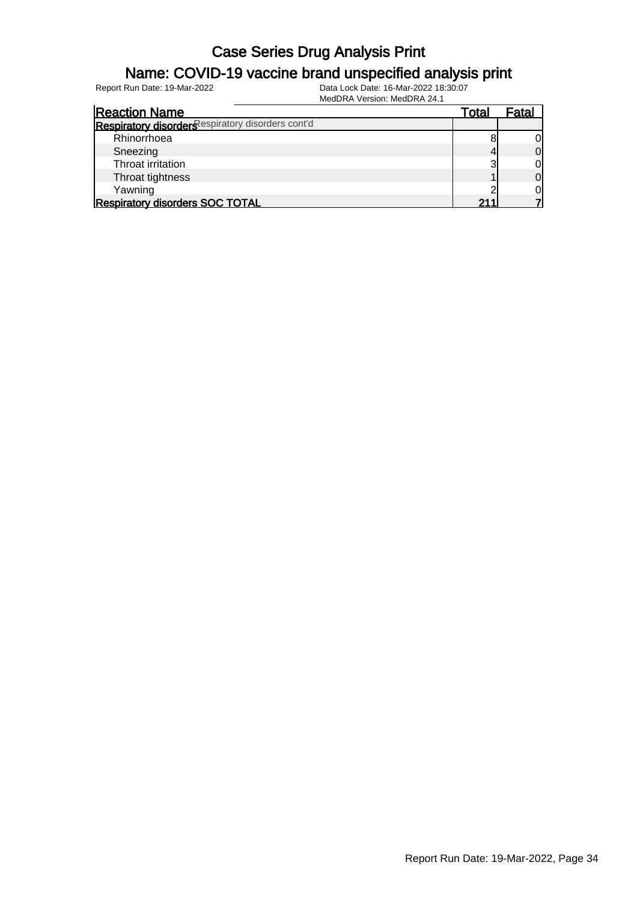#### Name: COVID-19 vaccine brand unspecified analysis print

| <b>Reaction Name</b>                              | Total | Fatal |
|---------------------------------------------------|-------|-------|
| Respiratory disorders espiratory disorders cont'd |       |       |
| Rhinorrhoea                                       |       |       |
| Sneezing                                          |       | Οl    |
| Throat irritation                                 | ◠     | 01    |
| Throat tightness                                  |       | 01    |
| Yawning                                           |       | Οl    |
| <b>Respiratory disorders SOC TOTAL</b>            | .     |       |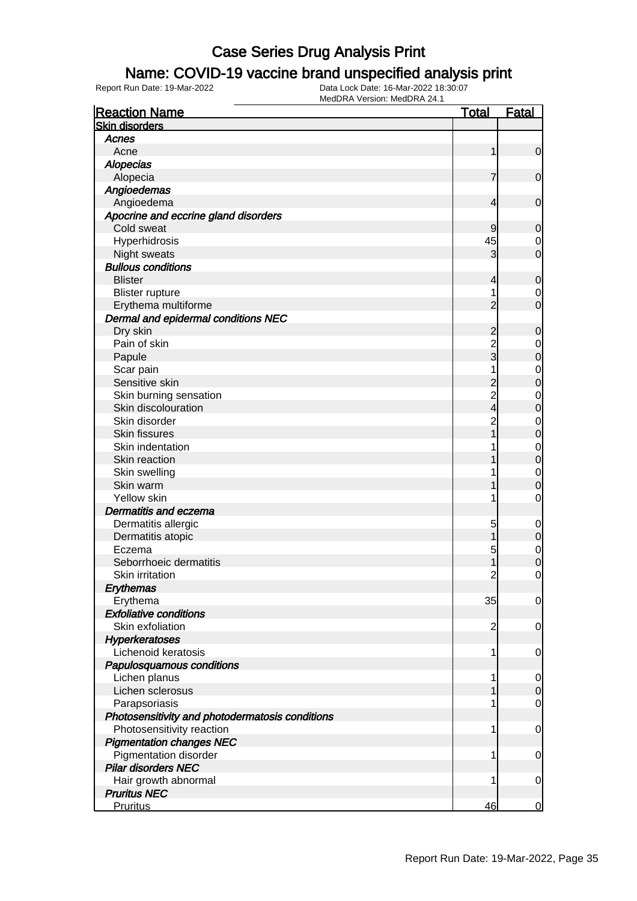### Name: COVID-19 vaccine brand unspecified analysis print

| <b>Reaction Name</b>                            | <u>Total</u>   | <b>Fatal</b>     |
|-------------------------------------------------|----------------|------------------|
| <b>Skin disorders</b>                           |                |                  |
| Acnes                                           |                |                  |
| Acne                                            | 1              | $\mathbf 0$      |
| <b>Alopecias</b>                                |                |                  |
| Alopecia                                        | 7              | $\mathbf 0$      |
| Angioedemas                                     |                |                  |
| Angioedema                                      | 4              | $\mathbf 0$      |
| Apocrine and eccrine gland disorders            |                |                  |
| Cold sweat                                      | 9              | 0                |
| Hyperhidrosis                                   | 45             | $\mathbf 0$      |
| Night sweats                                    | 3              | $\overline{0}$   |
| <b>Bullous conditions</b>                       |                |                  |
| <b>Blister</b>                                  | 4              | 0                |
| <b>Blister rupture</b>                          | 1              | $\mathbf 0$      |
| Erythema multiforme                             | 2              | $\overline{0}$   |
| Dermal and epidermal conditions NEC             |                |                  |
| Dry skin                                        | $\overline{c}$ | $\mathbf 0$      |
| Pain of skin                                    | $\overline{c}$ | $\mathbf 0$      |
| Papule                                          | 3              | $\mathbf 0$      |
| Scar pain                                       | 1              | $\mathbf 0$      |
| Sensitive skin                                  |                | $\mathbf 0$      |
| Skin burning sensation                          | $\overline{c}$ | $\mathbf 0$      |
| Skin discolouration                             | 4              | $\mathbf 0$      |
| Skin disorder                                   | $\overline{c}$ | $\mathbf 0$      |
| Skin fissures                                   |                | $\mathbf 0$      |
| Skin indentation                                |                | $\mathbf 0$      |
| Skin reaction                                   |                | $\mathbf 0$      |
| Skin swelling                                   |                | $\mathbf 0$      |
| Skin warm                                       |                | 0                |
| Yellow skin                                     | 1              | 0                |
| <b>Dermatitis and eczema</b>                    |                |                  |
| Dermatitis allergic                             | 5              | $\mathbf 0$      |
| Dermatitis atopic                               |                | $\mathbf 0$      |
| Eczema                                          | 5              | $\mathbf 0$      |
| Seborrhoeic dermatitis                          |                | $\mathbf 0$      |
| Skin irritation                                 | $\overline{c}$ | 0                |
| Erythemas                                       |                |                  |
| Erythema                                        | 35             | $\mathbf 0$      |
| <b>Exfoliative conditions</b>                   |                |                  |
| Skin exfoliation                                | $\overline{c}$ | 0                |
| Hyperkeratoses                                  |                |                  |
| Lichenoid keratosis                             | 1              | 0                |
| Papulosquamous conditions                       |                |                  |
| Lichen planus                                   | 1              | $\mathbf 0$      |
| Lichen sclerosus                                |                | $\boldsymbol{0}$ |
| Parapsoriasis                                   | 1              | 0                |
| Photosensitivity and photodermatosis conditions |                |                  |
| Photosensitivity reaction                       | 1              | $\mathbf 0$      |
| <b>Pigmentation changes NEC</b>                 |                |                  |
| Pigmentation disorder                           | 1              | $\mathbf 0$      |
| <b>Pilar disorders NEC</b>                      |                |                  |
| Hair growth abnormal                            | 1              | $\mathbf 0$      |
| <b>Pruritus NEC</b>                             |                |                  |
| Pruritus                                        | 46             | $\overline{0}$   |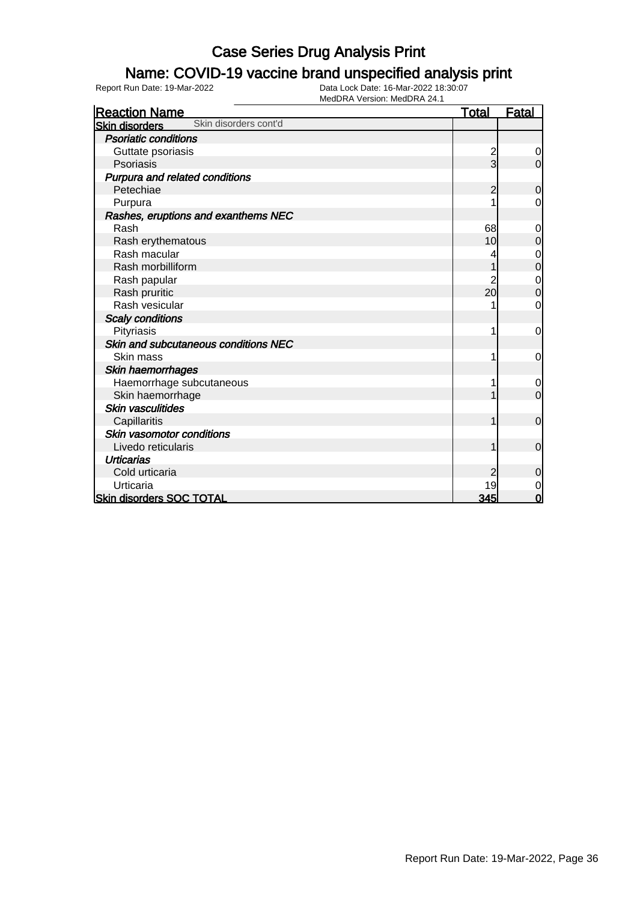### Name: COVID-19 vaccine brand unspecified analysis print

| <b>Reaction Name</b>                           | <b>Total</b>            | <b>Fatal</b>     |
|------------------------------------------------|-------------------------|------------------|
| Skin disorders cont'd<br><b>Skin disorders</b> |                         |                  |
| <b>Psoriatic conditions</b>                    |                         |                  |
| Guttate psoriasis                              | $\overline{\mathbf{c}}$ | 0                |
| Psoriasis                                      | $\overline{3}$          | $\overline{0}$   |
| Purpura and related conditions                 |                         |                  |
| Petechiae                                      | 2                       | $\mathbf 0$      |
| Purpura                                        |                         | 0                |
| Rashes, eruptions and exanthems NEC            |                         |                  |
| Rash                                           | 68                      | 0                |
| Rash erythematous                              | 10                      | 0                |
| Rash macular                                   |                         | $\mathbf 0$      |
| Rash morbilliform                              |                         | $\boldsymbol{0}$ |
| Rash papular                                   | $\overline{c}$          | $\mathbf{0}$     |
| Rash pruritic                                  | 20                      | $\mathbf 0$      |
| Rash vesicular                                 |                         | 0                |
| <b>Scaly conditions</b>                        |                         |                  |
| Pityriasis                                     |                         | 0                |
| Skin and subcutaneous conditions NEC           |                         |                  |
| Skin mass                                      |                         | 0                |
| Skin haemorrhages                              |                         |                  |
| Haemorrhage subcutaneous                       |                         | 0                |
| Skin haemorrhage                               |                         | $\overline{0}$   |
| <b>Skin vasculitides</b>                       |                         |                  |
| Capillaritis                                   |                         | $\mathbf 0$      |
| Skin vasomotor conditions                      |                         |                  |
| Livedo reticularis                             |                         | $\overline{0}$   |
| <b>Urticarias</b>                              |                         |                  |
| Cold urticaria                                 | $\overline{2}$          | $\mathbf 0$      |
| Urticaria                                      | 19                      | $\mathbf 0$      |
| <b>Skin disorders SOC TOTAL</b>                | 345                     | $\mathbf 0$      |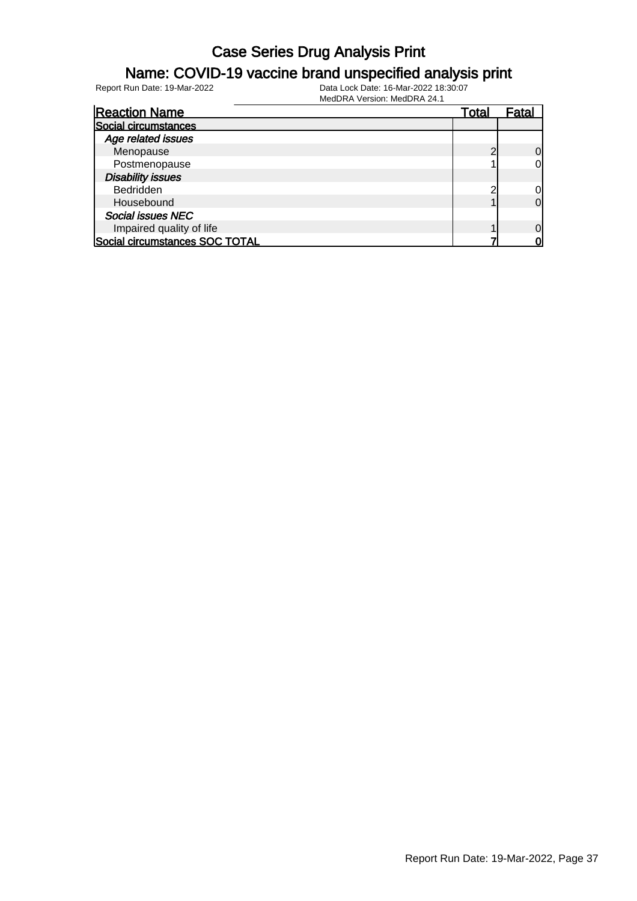#### Name: COVID-19 vaccine brand unspecified analysis print

Report Run Date: 19-Mar-2022 Data Lock Date: 16-Mar-2022 18:30:07

| <b>Reaction Name</b>           | Total | Fatal          |
|--------------------------------|-------|----------------|
| Social circumstances           |       |                |
| Age related issues             |       |                |
| Menopause                      | ╭     | $\Omega$       |
| Postmenopause                  |       | 0              |
| <b>Disability issues</b>       |       |                |
| <b>Bedridden</b>               |       | 0l             |
| Housebound                     |       | $\overline{0}$ |
| <b>Social issues NEC</b>       |       |                |
| Impaired quality of life       |       | $\Omega$       |
| Social circumstances SOC TOTAL |       | വ              |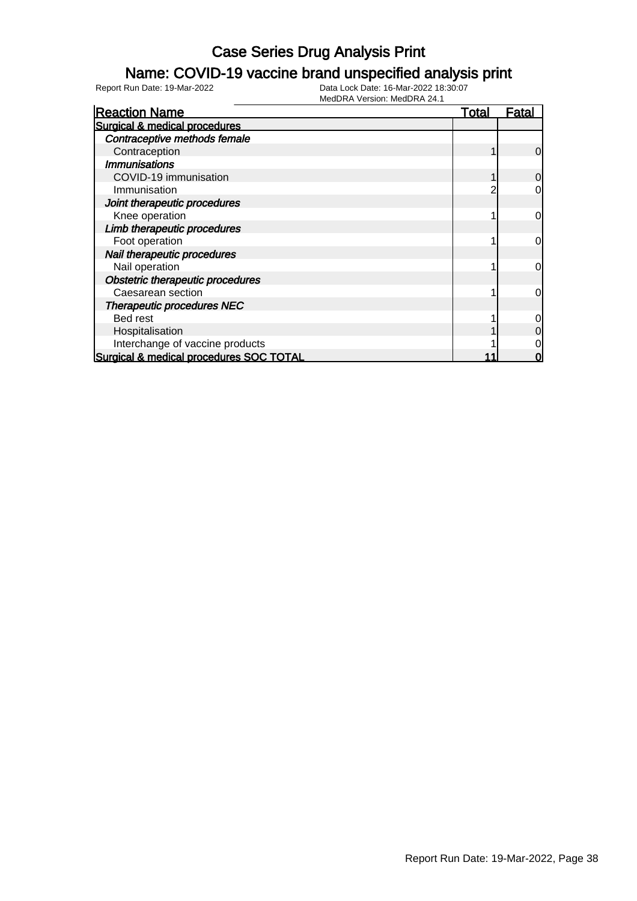### Name: COVID-19 vaccine brand unspecified analysis print

| <b>Reaction Name</b>                    | <b>Total</b> | <b>Fatal</b>   |
|-----------------------------------------|--------------|----------------|
| Surgical & medical procedures           |              |                |
| Contraceptive methods female            |              |                |
| Contraception                           |              | $\overline{0}$ |
| <b>Immunisations</b>                    |              |                |
| COVID-19 immunisation                   |              | $\overline{0}$ |
| Immunisation                            |              | 0              |
| Joint therapeutic procedures            |              |                |
| Knee operation                          |              | $\overline{0}$ |
| Limb therapeutic procedures             |              |                |
| Foot operation                          |              | $\overline{0}$ |
| Nail therapeutic procedures             |              |                |
| Nail operation                          |              | $\overline{0}$ |
| Obstetric therapeutic procedures        |              |                |
| Caesarean section                       |              | $\overline{0}$ |
| <b>Therapeutic procedures NEC</b>       |              |                |
| Bed rest                                |              | $\overline{0}$ |
| Hospitalisation                         |              | $\overline{0}$ |
| Interchange of vaccine products         |              | 0              |
| Surgical & medical procedures SOC TOTAL |              | 0              |